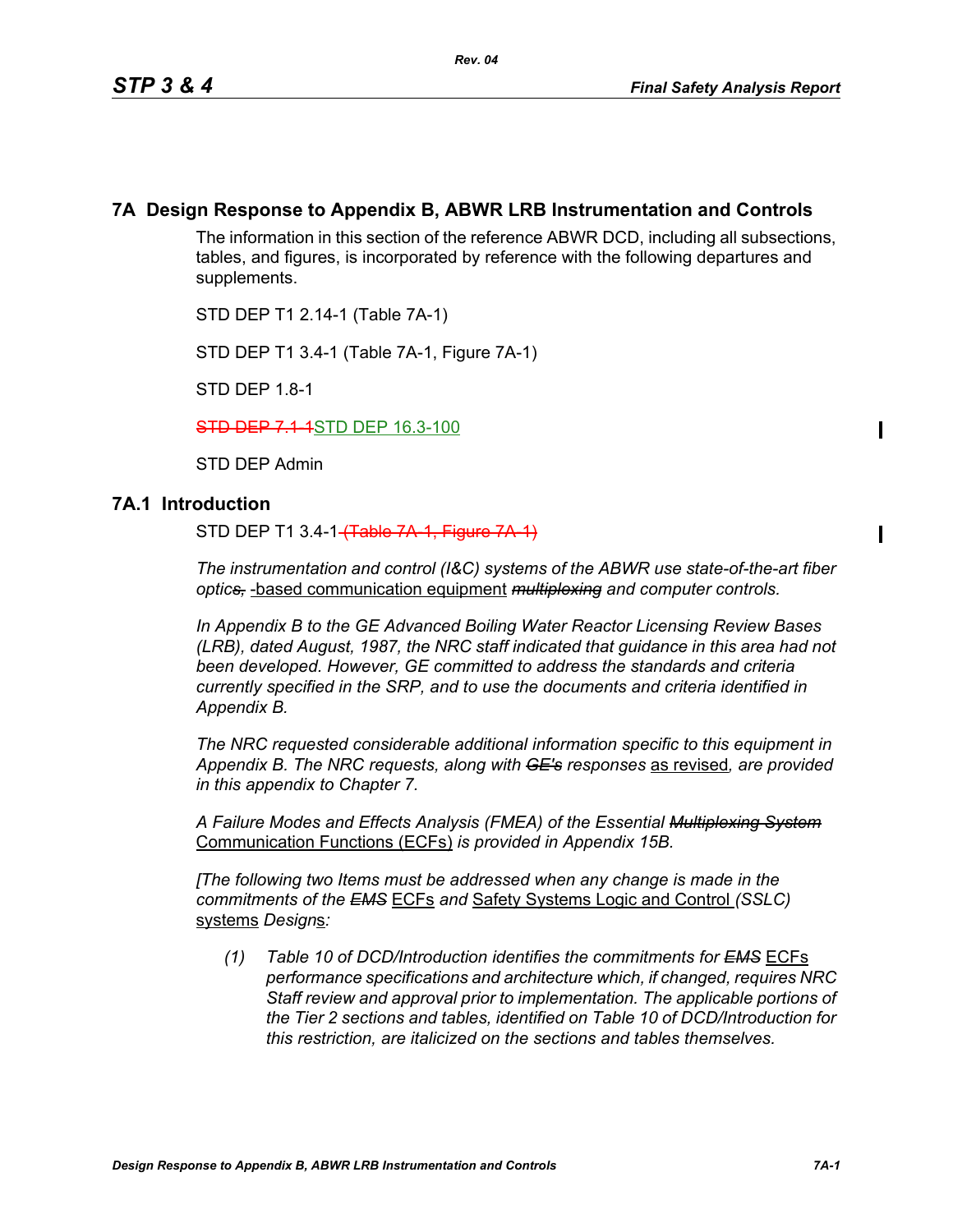## **7A Design Response to Appendix B, ABWR LRB Instrumentation and Controls**

The information in this section of the reference ABWR DCD, including all subsections, tables, and figures, is incorporated by reference with the following departures and supplements.

STD DEP T1 2.14-1 (Table 7A-1)

STD DEP T1 3.4-1 (Table 7A-1, Figure 7A-1)

STD DEP 1.8-1

**STD DEP 7.1-1**STD DEP 16.3-100

STD DEP Admin

### **7A.1 Introduction**

STD DEP T1 3.4-1 (Table 7A 1, Figure 7A 1)

*The instrumentation and control (I&C) systems of the ABWR use state-of-the-art fiber optics,* -based communication equipment *multiplexing and computer controls.* 

*In Appendix B to the GE Advanced Boiling Water Reactor Licensing Review Bases (LRB), dated August, 1987, the NRC staff indicated that guidance in this area had not been developed. However, GE committed to address the standards and criteria currently specified in the SRP, and to use the documents and criteria identified in Appendix B.*

*The NRC requested considerable additional information specific to this equipment in Appendix B. The NRC requests, along with GE's responses* as revised*, are provided in this appendix to Chapter 7.*

*A Failure Modes and Effects Analysis (FMEA) of the Essential Multiplexing System* Communication Functions (ECFs) *is provided in Appendix 15B.*

*[The following two Items must be addressed when any change is made in the commitments of the EMS* ECFs *and* Safety Systems Logic and Control *(SSLC)* systems *Design*s*:*

*(1) Table 10 of DCD/Introduction identifies the commitments for EMS* ECFs *performance specifications and architecture which, if changed, requires NRC Staff review and approval prior to implementation. The applicable portions of the Tier 2 sections and tables, identified on Table 10 of DCD/Introduction for this restriction, are italicized on the sections and tables themselves.*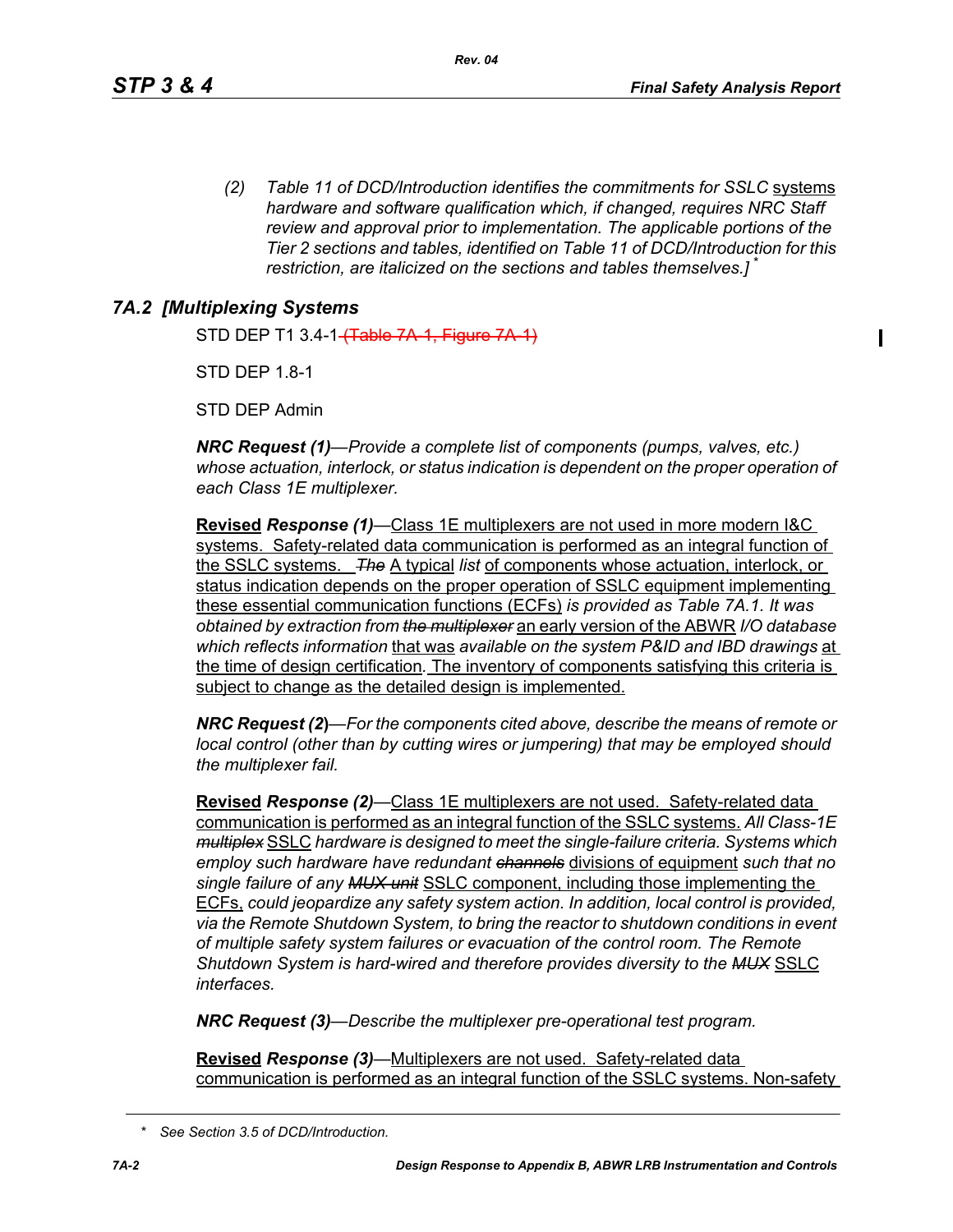*(2) Table 11 of DCD/Introduction identifies the commitments for SSLC* systems *hardware and software qualification which, if changed, requires NRC Staff review and approval prior to implementation. The applicable portions of the Tier 2 sections and tables, identified on Table 11 of DCD/Introduction for this restriction, are italicized on the sections and tables themselves.]* \*

# *7A.2 [Multiplexing Systems*

STD DEP T1 3.4-1 (Table 7A-1, Figure 7A-1)

STD DFP 18-1

STD DEP Admin

*NRC Request (1)—Provide a complete list of components (pumps, valves, etc.) whose actuation, interlock, or status indication is dependent on the proper operation of each Class 1E multiplexer.*

**Revised** *Response (1)—*Class 1E multiplexers are not used in more modern I&C systems. Safety-related data communication is performed as an integral function of the SSLC systems. *The* A typical *list* of components whose actuation, interlock, or status indication depends on the proper operation of SSLC equipment implementing these essential communication functions (ECFs) *is provided as Table 7A.1. It was obtained by extraction from the multiplexer* an early version of the ABWR *I/O database which reflects information* that was *available on the system P&ID and IBD drawings* at the time of design certification*.* The inventory of components satisfying this criteria is subject to change as the detailed design is implemented.

*NRC Request (2***)***—For the components cited above, describe the means of remote or local control (other than by cutting wires or jumpering) that may be employed should the multiplexer fail.*

**Revised** *Response (2)—*Class 1E multiplexers are not used. Safety-related data communication is performed as an integral function of the SSLC systems. *All Class-1E multiplex* SSLC *hardware is designed to meet the single-failure criteria. Systems which employ such hardware have redundant channels* divisions of equipment *such that no single failure of any MUX unit* SSLC component, including those implementing the ECFs, *could jeopardize any safety system action. In addition, local control is provided, via the Remote Shutdown System, to bring the reactor to shutdown conditions in event of multiple safety system failures or evacuation of the control room. The Remote Shutdown System is hard-wired and therefore provides diversity to the MUX* SSLC *interfaces.*

*NRC Request (3)—Describe the multiplexer pre-operational test program.*

**Revised** *Response (3)—*Multiplexers are not used. Safety-related data communication is performed as an integral function of the SSLC systems. Non-safety

*<sup>\*</sup> See Section 3.5 of DCD/Introduction.*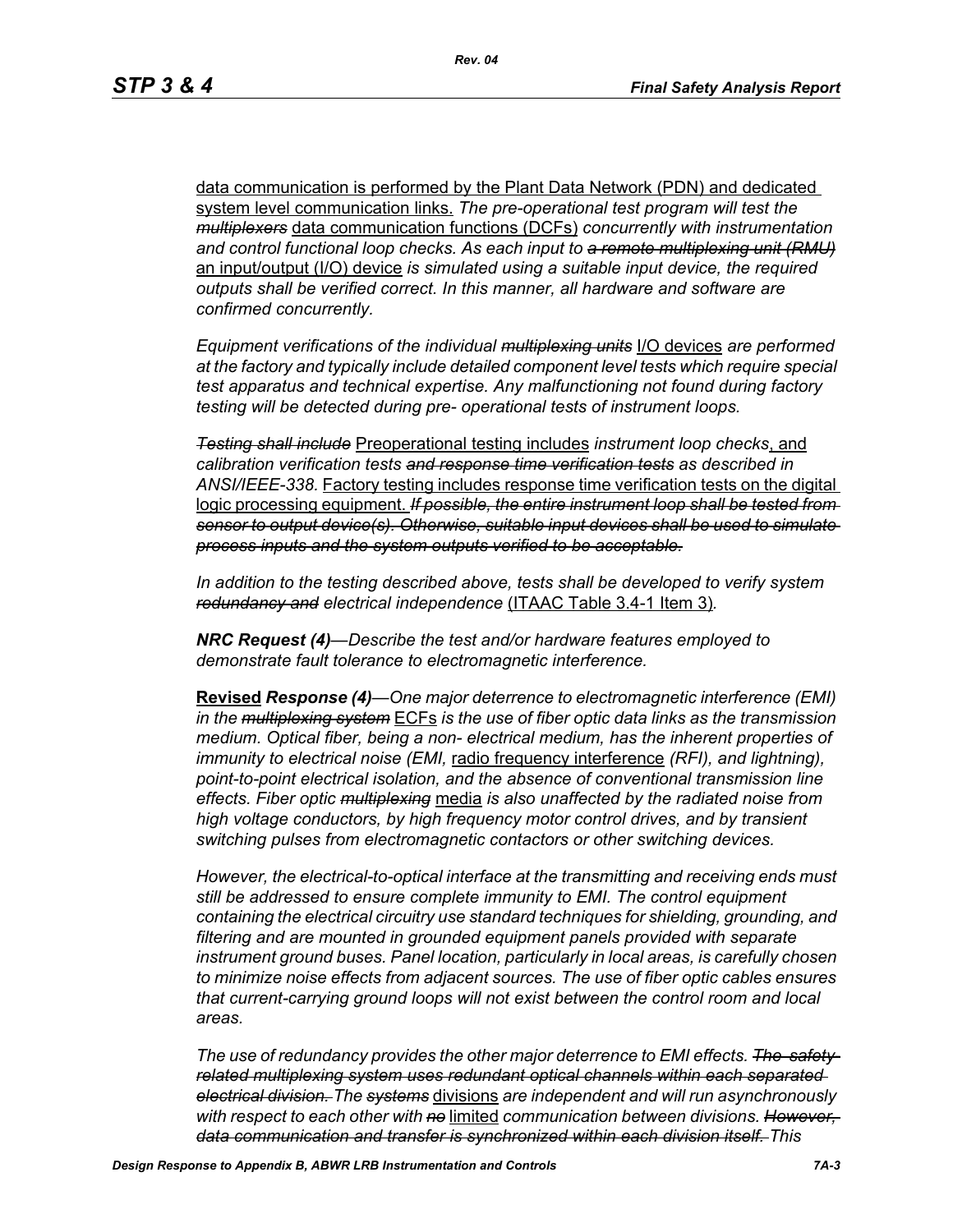data communication is performed by the Plant Data Network (PDN) and dedicated system level communication links. *The pre-operational test program will test the multiplexers* data communication functions (DCFs) *concurrently with instrumentation and control functional loop checks. As each input to a remote multiplexing unit (RMU)* an input/output (I/O) device *is simulated using a suitable input device, the required outputs shall be verified correct. In this manner, all hardware and software are confirmed concurrently.*

*Equipment verifications of the individual multiplexing units* I/O devices *are performed at the factory and typically include detailed component level tests which require special test apparatus and technical expertise. Any malfunctioning not found during factory testing will be detected during pre- operational tests of instrument loops.*

*Testing shall include* Preoperational testing includes *instrument loop checks*, and *calibration verification tests and response time verification tests as described in ANSI/IEEE-338.* Factory testing includes response time verification tests on the digital logic processing equipment. *If possible, the entire instrument loop shall be tested from sensor to output device(s). Otherwise, suitable input devices shall be used to simulate process inputs and the system outputs verified to be acceptable.*

*In addition to the testing described above, tests shall be developed to verify system redundancy and electrical independence* (ITAAC Table 3.4-1 Item 3)*.*

*NRC Request (4)—Describe the test and/or hardware features employed to demonstrate fault tolerance to electromagnetic interference.*

**Revised** *Response (4)—One major deterrence to electromagnetic interference (EMI) in the multiplexing system* ECFs *is the use of fiber optic data links as the transmission medium. Optical fiber, being a non- electrical medium, has the inherent properties of immunity to electrical noise (EMI,* radio frequency interference *(RFI), and lightning), point-to-point electrical isolation, and the absence of conventional transmission line effects. Fiber optic multiplexing* media *is also unaffected by the radiated noise from high voltage conductors, by high frequency motor control drives, and by transient switching pulses from electromagnetic contactors or other switching devices.* 

*However, the electrical-to-optical interface at the transmitting and receiving ends must still be addressed to ensure complete immunity to EMI. The control equipment containing the electrical circuitry use standard techniques for shielding, grounding, and filtering and are mounted in grounded equipment panels provided with separate instrument ground buses. Panel location, particularly in local areas, is carefully chosen to minimize noise effects from adjacent sources. The use of fiber optic cables ensures that current-carrying ground loops will not exist between the control room and local areas.* 

*The use of redundancy provides the other major deterrence to EMI effects. The safetyrelated multiplexing system uses redundant optical channels within each separated electrical division. The systems* divisions *are independent and will run asynchronously with respect to each other with no* limited *communication between divisions. However, data communication and transfer is synchronized within each division itself. This*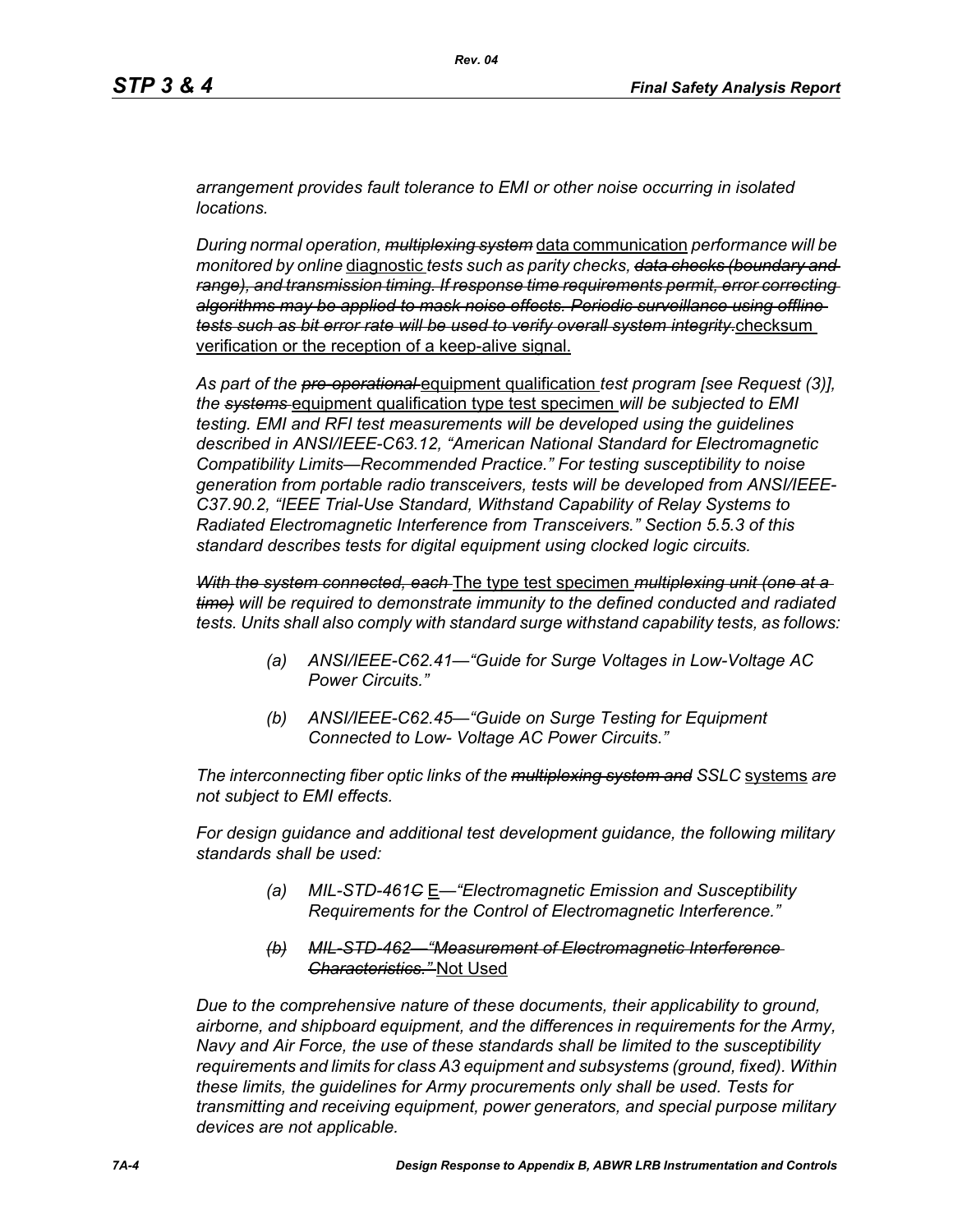*arrangement provides fault tolerance to EMI or other noise occurring in isolated locations.* 

*During normal operation, multiplexing system* data communication *performance will be monitored by online* diagnostic *tests such as parity checks, data checks (boundary and range), and transmission timing. If response time requirements permit, error correcting algorithms may be applied to mask noise effects. Periodic surveillance using offline tests such as bit error rate will be used to verify overall system integrity.*checksum verification or the reception of a keep-alive signal.

*As part of the pre-operational* equipment qualification *test program [see Request (3)], the systems* equipment qualification type test specimen *will be subjected to EMI testing. EMI and RFI test measurements will be developed using the guidelines described in ANSI/IEEE-C63.12, "American National Standard for Electromagnetic Compatibility Limits—Recommended Practice." For testing susceptibility to noise generation from portable radio transceivers, tests will be developed from ANSI/IEEE-C37.90.2, "IEEE Trial-Use Standard, Withstand Capability of Relay Systems to Radiated Electromagnetic Interference from Transceivers." Section 5.5.3 of this standard describes tests for digital equipment using clocked logic circuits.*

*With the system connected, each* The type test specimen *multiplexing unit (one at a time) will be required to demonstrate immunity to the defined conducted and radiated tests. Units shall also comply with standard surge withstand capability tests, as follows:*

- *(a) ANSI/IEEE-C62.41—"Guide for Surge Voltages in Low-Voltage AC Power Circuits."*
- *(b) ANSI/IEEE-C62.45—"Guide on Surge Testing for Equipment Connected to Low- Voltage AC Power Circuits."*

*The interconnecting fiber optic links of the multiplexing system and SSLC* systems *are not subject to EMI effects.*

*For design guidance and additional test development guidance, the following military standards shall be used:*

- *(a) MIL-STD-461C* E*—"Electromagnetic Emission and Susceptibility Requirements for the Control of Electromagnetic Interference."*
- *(b) MIL-STD-462—"Measurement of Electromagnetic Interference Characteristics."* Not Used

*Due to the comprehensive nature of these documents, their applicability to ground, airborne, and shipboard equipment, and the differences in requirements for the Army, Navy and Air Force, the use of these standards shall be limited to the susceptibility requirements and limits for class A3 equipment and subsystems (ground, fixed). Within these limits, the guidelines for Army procurements only shall be used. Tests for transmitting and receiving equipment, power generators, and special purpose military devices are not applicable.*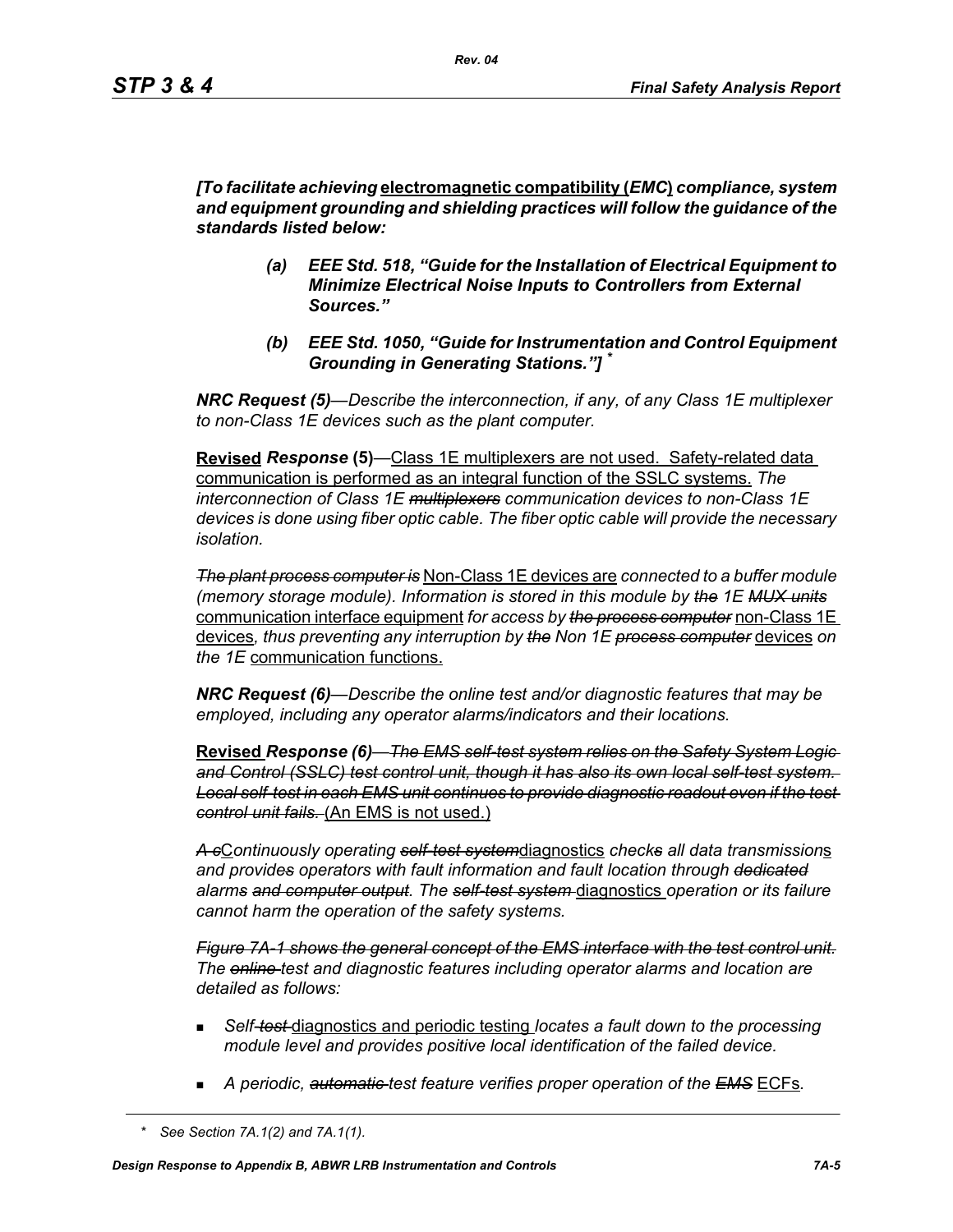*[To facilitate achieving* **electromagnetic compatibility (***EMC***)** *compliance, system and equipment grounding and shielding practices will follow the guidance of the standards listed below:*

- *(a) EEE Std. 518, "Guide for the Installation of Electrical Equipment to Minimize Electrical Noise Inputs to Controllers from External Sources."*
- *(b) EEE Std. 1050, "Guide for Instrumentation and Control Equipment Grounding in Generating Stations."] \**

*NRC Request (5)*—*Describe the interconnection, if any, of any Class 1E multiplexer to non-Class 1E devices such as the plant computer.* 

**Revised** *Response* **(5)***—*Class 1E multiplexers are not used. Safety-related data communication is performed as an integral function of the SSLC systems. *The interconnection of Class 1E multiplexers communication devices to non-Class 1E devices is done using fiber optic cable. The fiber optic cable will provide the necessary isolation.* 

*The plant process computer is* Non-Class 1E devices are *connected to a buffer module (memory storage module). Information is stored in this module by the 1E MUX units* communication interface equipment *for access by the process computer* non-Class 1E devices*, thus preventing any interruption by the Non 1E process computer* devices *on the 1E* communication functions.

*NRC Request (6)—Describe the online test and/or diagnostic features that may be employed, including any operator alarms/indicators and their locations.* 

**Revised** *Response (6)—The EMS self-test system relies on the Safety System Logic and Control (SSLC) test control unit, though it has also its own local self-test system. Local self-test in each EMS unit continues to provide diagnostic readout even if the test control unit fails.* (An EMS is not used.)

*A c*C*ontinuously operating self-test system*diagnostics *checks all data transmission*s *and provides operators with fault information and fault location through dedicated alarms and computer output. The self-test system* diagnostics *operation or its failure cannot harm the operation of the safety systems.*

*Figure 7A-1 shows the general concept of the EMS interface with the test control unit. The online test and diagnostic features including operator alarms and location are detailed as follows:*

- *Self-test* diagnostics and periodic testing *locates a fault down to the processing module level and provides positive local identification of the failed device.*
- *A periodic, automatic test feature verifies proper operation of the EMS* ECFs*.*

*<sup>\*</sup> See Section 7A.1(2) and 7A.1(1).*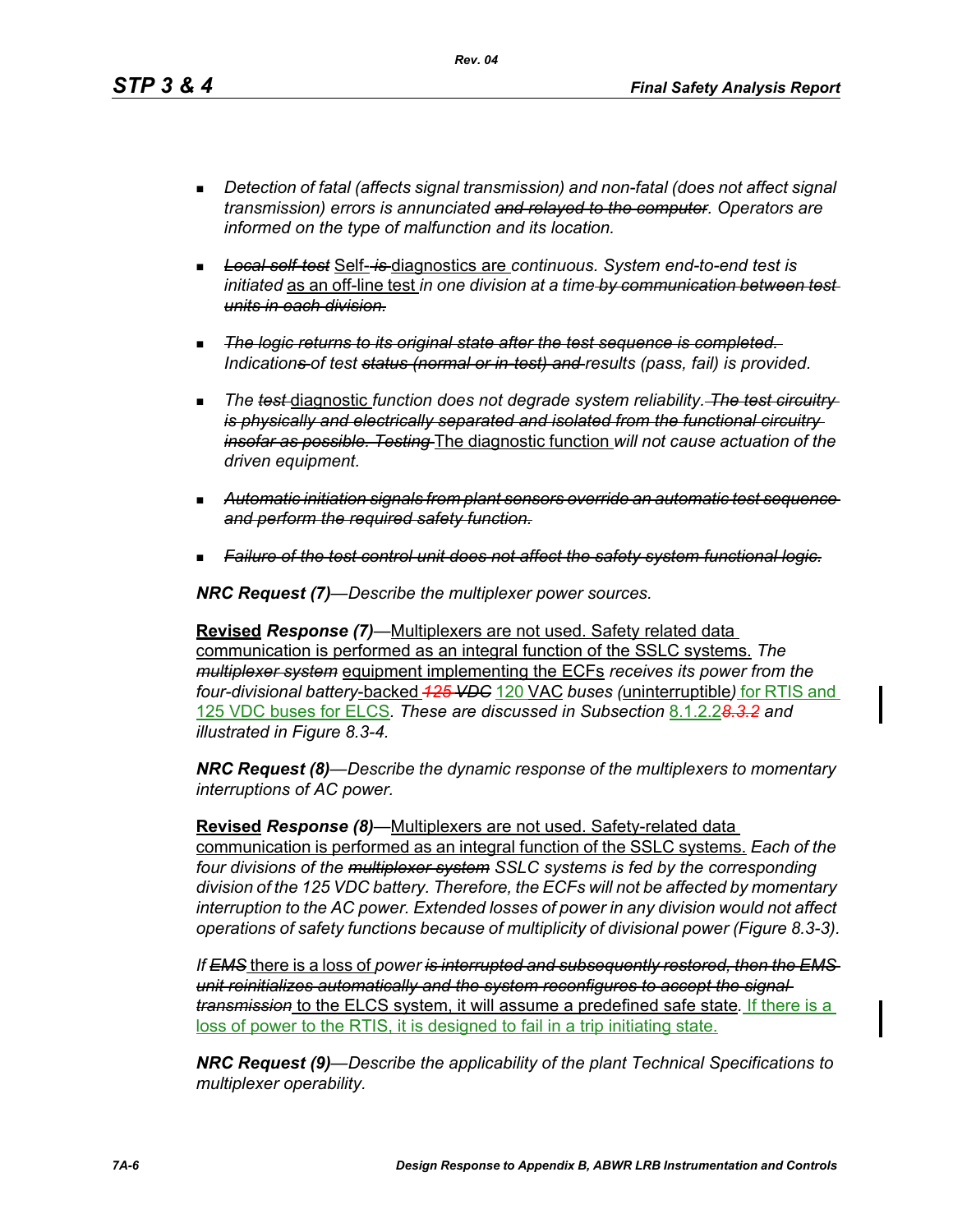*Rev. 04*

- *Detection of fatal (affects signal transmission) and non-fatal (does not affect signal transmission) errors is annunciated and relayed to the computer. Operators are informed on the type of malfunction and its location.*
- *Local self-test* Self- *is* diagnostics are *continuous. System end-to-end test is initiated* as an off-line test *in one division at a time by communication between test units in each division.*
- *The logic returns to its original state after the test sequence is completed. Indications of test status (normal or in-test) and results (pass, fail) is provided.*
- **The test diagnostic function does not degrade system reliability.** The test circuitry*is physically and electrically separated and isolated from the functional circuitry insofar as possible. Testing* The diagnostic function *will not cause actuation of the driven equipment.*
- *Automatic initiation signals from plant sensors override an automatic test sequence and perform the required safety function.*
- *Failure of the test control unit does not affect the safety system functional logic.*

*NRC Request (7)—Describe the multiplexer power sources.*

**Revised** *Response (7)—*Multiplexers are not used. Safety related data communication is performed as an integral function of the SSLC systems. *The multiplexer system* equipment implementing the ECFs *receives its power from the four-divisional battery*-backed *125 VDC* 120 VAC *buses (*uninterruptible*)* for RTIS and 125 VDC buses for ELCS*. These are discussed in Subsection* 8.1.2.2*8.3.2 and illustrated in Figure 8.3-4.*

*NRC Request (8)—Describe the dynamic response of the multiplexers to momentary interruptions of AC power.*

**Revised** *Response (8)—*Multiplexers are not used. Safety-related data communication is performed as an integral function of the SSLC systems. *Each of the four divisions of the multiplexer system SSLC systems is fed by the corresponding division of the 125 VDC battery. Therefore, the ECFs will not be affected by momentary interruption to the AC power. Extended losses of power in any division would not affect operations of safety functions because of multiplicity of divisional power (Figure 8.3-3).*

*If EMS* there is a loss of *power is interrupted and subsequently restored, then the EMS unit reinitializes automatically and the system reconfigures to accept the signal transmission* to the ELCS system, it will assume a predefined safe state*.* If there is a loss of power to the RTIS, it is designed to fail in a trip initiating state.

*NRC Request (9)—Describe the applicability of the plant Technical Specifications to multiplexer operability.*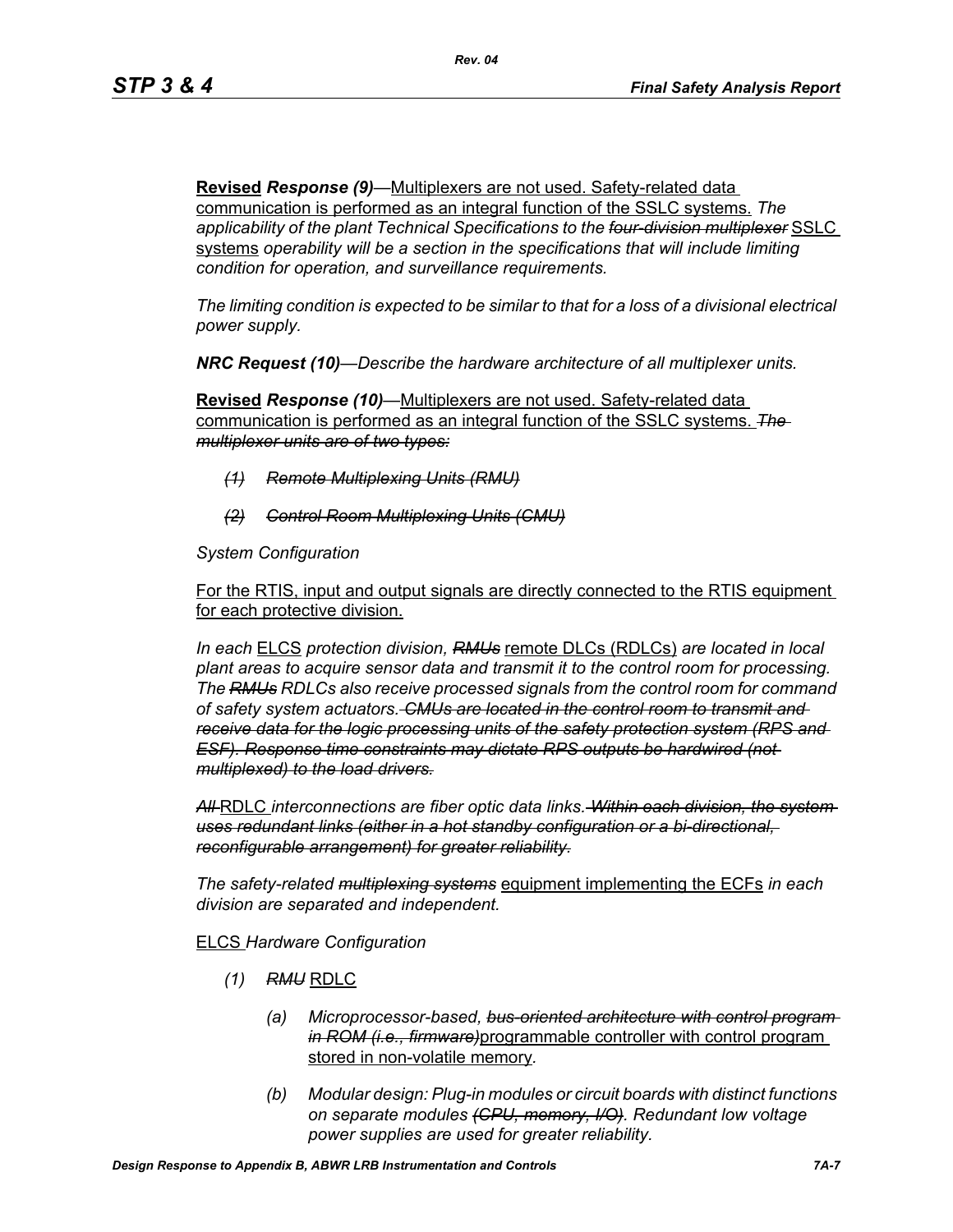**Revised** *Response (9)—*Multiplexers are not used. Safety-related data communication is performed as an integral function of the SSLC systems. *The applicability of the plant Technical Specifications to the four-division multiplexer* SSLC systems *operability will be a section in the specifications that will include limiting condition for operation, and surveillance requirements.*

*The limiting condition is expected to be similar to that for a loss of a divisional electrical power supply.*

*NRC Request (10)—Describe the hardware architecture of all multiplexer units.* 

**Revised** *Response (10)—*Multiplexers are not used. Safety-related data communication is performed as an integral function of the SSLC systems. *The multiplexer units are of two types:*

- *(1) Remote Multiplexing Units (RMU)*
- *(2) Control Room Multiplexing Units (CMU)*

*System Configuration*

For the RTIS, input and output signals are directly connected to the RTIS equipment for each protective division.

*In each* ELCS *protection division, RMUs* remote DLCs (RDLCs) *are located in local plant areas to acquire sensor data and transmit it to the control room for processing. The RMUs RDLCs also receive processed signals from the control room for command of safety system actuators. CMUs are located in the control room to transmit and receive data for the logic processing units of the safety protection system (RPS and ESF). Response time constraints may dictate RPS outputs be hardwired (not multiplexed) to the load drivers.*

*All* RDLC *interconnections are fiber optic data links. Within each division, the system uses redundant links (either in a hot standby configuration or a bi-directional, reconfigurable arrangement) for greater reliability.*

*The safety-related multiplexing systems* equipment implementing the ECFs *in each division are separated and independent.*

### ELCS *Hardware Configuration*

- *(1) RMU* RDLC
	- *(a) Microprocessor-based, bus-oriented architecture with control program in ROM (i.e., firmware)*programmable controller with control program stored in non-volatile memory*.*
	- *(b) Modular design: Plug-in modules or circuit boards with distinct functions on separate modules (CPU, memory, I/O). Redundant low voltage power supplies are used for greater reliability.*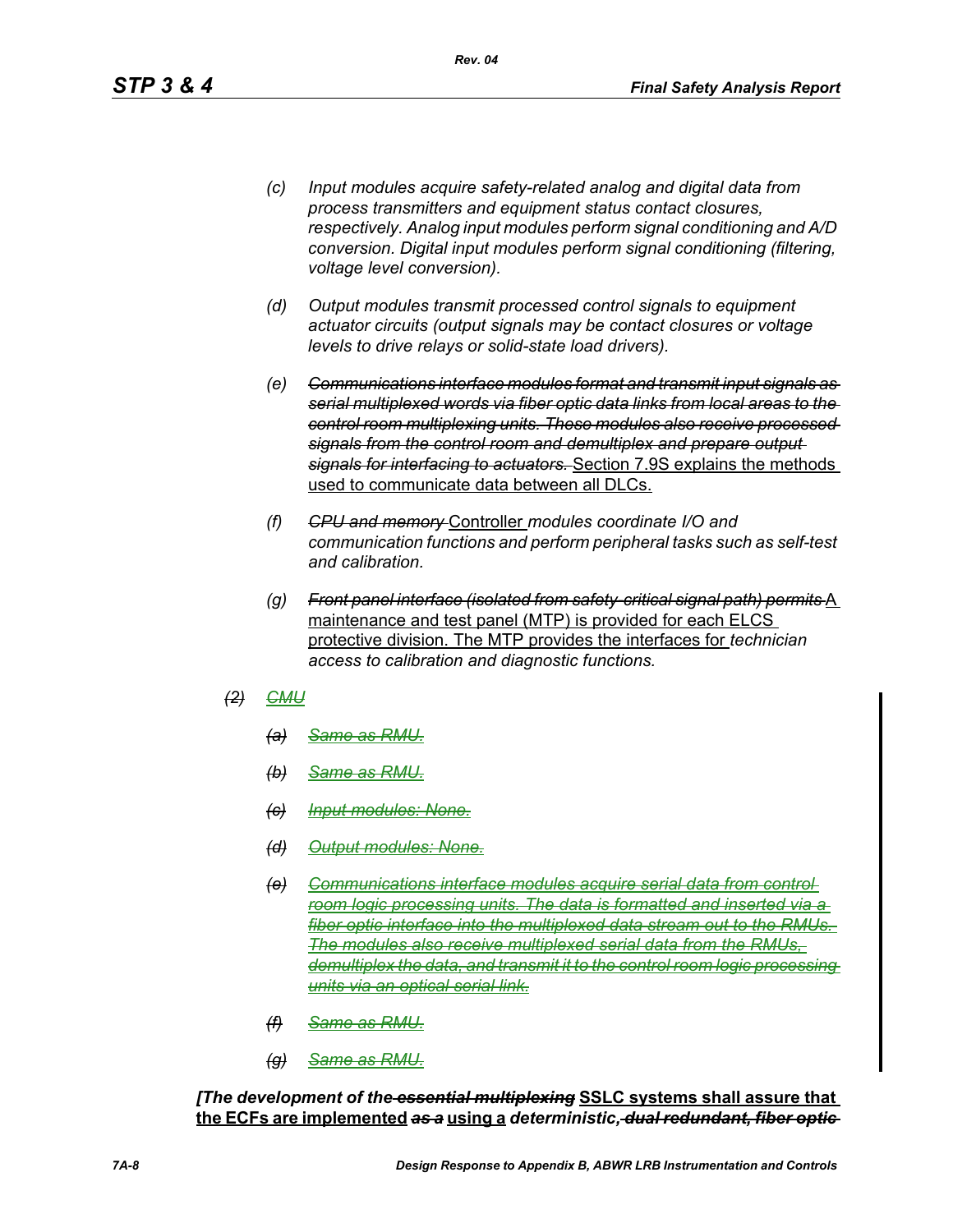- *(c) Input modules acquire safety-related analog and digital data from process transmitters and equipment status contact closures, respectively. Analog input modules perform signal conditioning and A/D conversion. Digital input modules perform signal conditioning (filtering, voltage level conversion).*
- *(d) Output modules transmit processed control signals to equipment actuator circuits (output signals may be contact closures or voltage levels to drive relays or solid-state load drivers).*
- *(e) Communications interface modules format and transmit input signals as serial multiplexed words via fiber optic data links from local areas to the control room multiplexing units. These modules also receive processed signals from the control room and demultiplex and prepare output signals for interfacing to actuators.* Section 7.9S explains the methods used to communicate data between all DLCs.
- *(f) CPU and memory* Controller *modules coordinate I/O and communication functions and perform peripheral tasks such as self-test and calibration.*
- *(g) Front panel interface (isolated from safety-critical signal path) permits* A maintenance and test panel (MTP) is provided for each ELCS protective division. The MTP provides the interfaces for *technician access to calibration and diagnostic functions.*
- *(2) CMU*
	- *(a) Same as RMU.*
	- *(b) Same as RMU.*
	- *(c) Input modules: None.*
	- *(d) Output modules: None.*
	- *(e) Communications interface modules acquire serial data from control room logic processing units. The data is formatted and inserted via a fiber optic interface into the multiplexed data stream out to the RMUs. The modules also receive multiplexed serial data from the RMUs, demultiplex the data, and transmit it to the control room logic processing units via an optical serial link.*
	- *(f) Same as RMU.*
	- *(g) Same as RMU.*

*[The development of the essential multiplexing* **SSLC systems shall assure that the ECFs are implemented** *as a* **using a** *deterministic, dual redundant, fiber optic*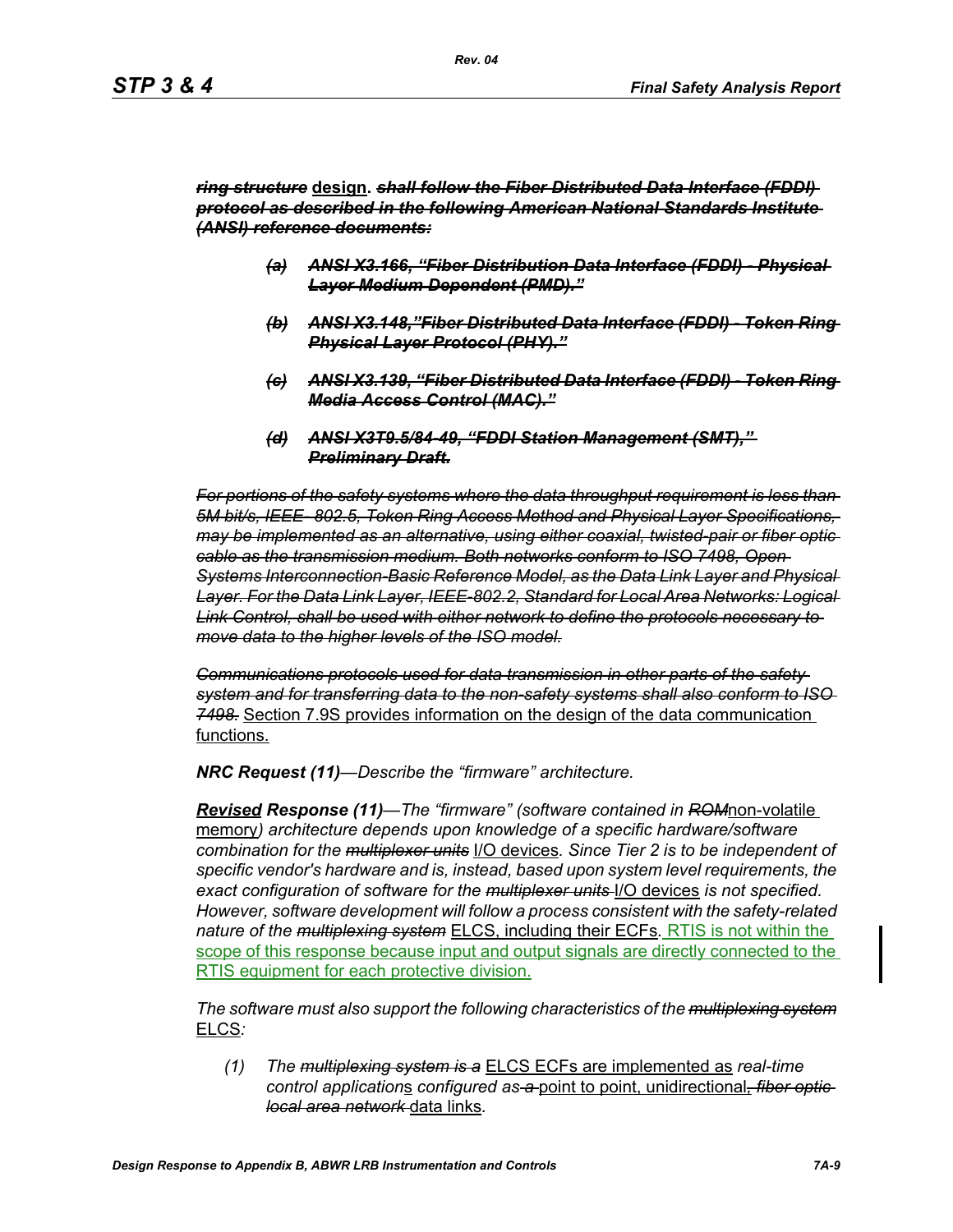#### *ring structure* **design.** *shall follow the Fiber Distributed Data Interface (FDDI) protocol as described in the following American National Standards Institute (ANSI) reference documents:*

- *(a) ANSI X3.166, "Fiber Distribution Data Interface (FDDI) Physical Layer Medium Dependent (PMD)."*
- *(b) ANSI X3.148,"Fiber Distributed Data Interface (FDDI) Token Ring Physical Layer Protocol (PHY)."*
- *(c) ANSI X3.139, "Fiber Distributed Data Interface (FDDI) Token Ring Media Access Control (MAC)."*
- *(d) ANSI X3T9.5/84-49, "FDDI Station Management (SMT)," Preliminary Draft.*

*For portions of the safety systems where the data throughput requirement is less than 5M bit/s, IEEE- 802.5, Token Ring Access Method and Physical Layer Specifications, may be implemented as an alternative, using either coaxial, twisted-pair or fiber optic cable as the transmission medium. Both networks conform to ISO 7498, Open Systems Interconnection-Basic Reference Model, as the Data Link Layer and Physical Layer. For the Data Link Layer, IEEE-802.2, Standard for Local Area Networks: Logical Link Control, shall be used with either network to define the protocols necessary to move data to the higher levels of the ISO model.*

*Communications protocols used for data transmission in other parts of the safety system and for transferring data to the non-safety systems shall also conform to ISO 7498.* Section 7.9S provides information on the design of the data communication functions.

*NRC Request (11)—Describe the "firmware" architecture.*

*Revised Response (11)—The "firmware" (software contained in ROM*non-volatile memory*) architecture depends upon knowledge of a specific hardware/software combination for the multiplexer units* I/O devices*. Since Tier 2 is to be independent of specific vendor's hardware and is, instead, based upon system level requirements, the exact configuration of software for the multiplexer units* I/O devices *is not specified. However, software development will follow a process consistent with the safety-related nature of the multiplexing system* ELCS, including their ECFs*.* RTIS is not within the scope of this response because input and output signals are directly connected to the RTIS equipment for each protective division.

*The software must also support the following characteristics of the multiplexing system* ELCS*:*

*(1) The multiplexing system is a* ELCS ECFs are implemented as *real-time control application*s *configured as a* point to point, unidirectional*, fiber optic local area network* data links*.*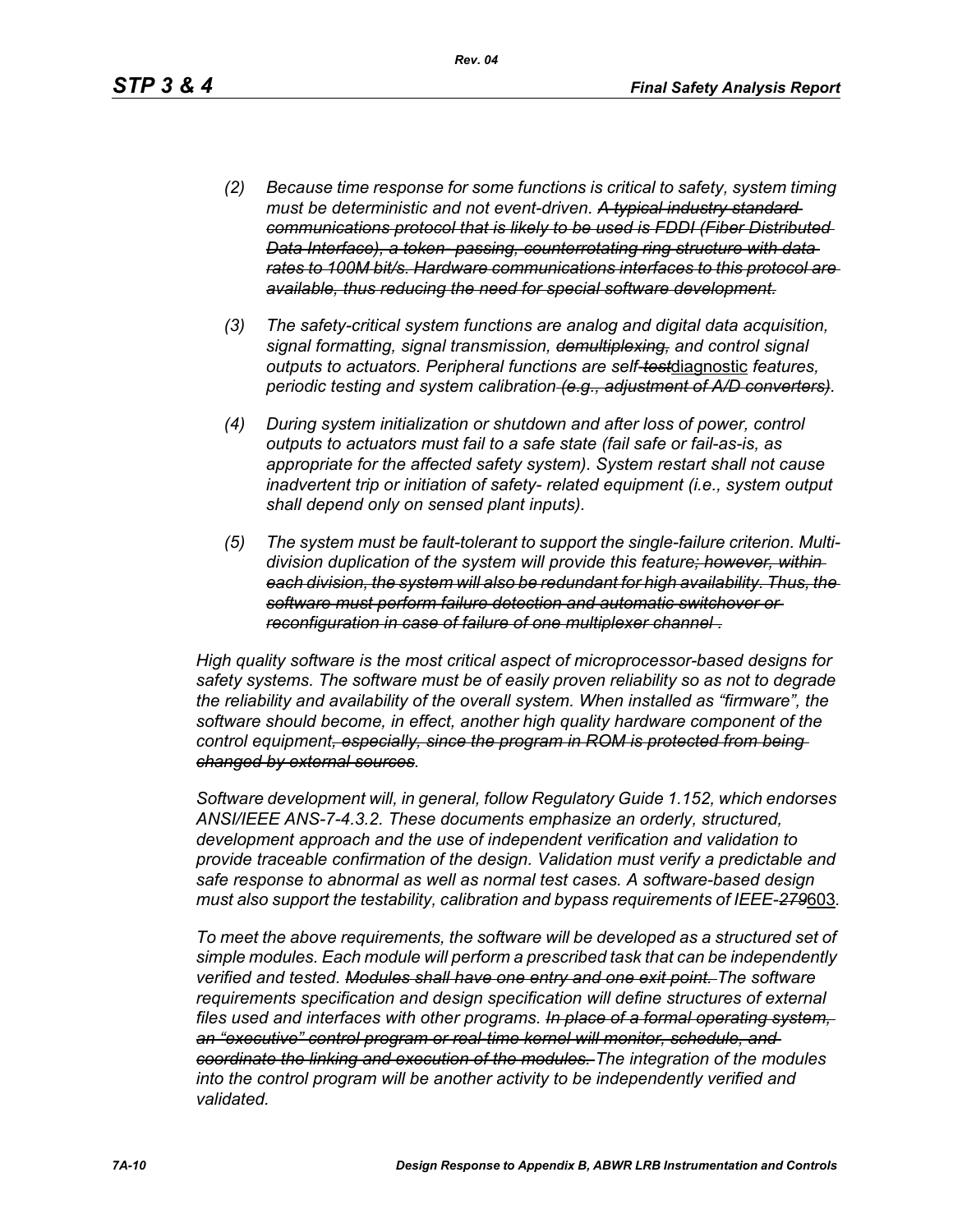- *(2) Because time response for some functions is critical to safety, system timing must be deterministic and not event-driven. A typical industry standard communications protocol that is likely to be used is FDDI (Fiber Distributed Data Interface), a token- passing, counterrotating ring structure with data rates to 100M bit/s. Hardware communications interfaces to this protocol are available, thus reducing the need for special software development.*
- *(3) The safety-critical system functions are analog and digital data acquisition, signal formatting, signal transmission, demultiplexing, and control signal outputs to actuators. Peripheral functions are self-test*diagnostic *features, periodic testing and system calibration (e.g., adjustment of A/D converters).*
- *(4) During system initialization or shutdown and after loss of power, control outputs to actuators must fail to a safe state (fail safe or fail-as-is, as appropriate for the affected safety system). System restart shall not cause inadvertent trip or initiation of safety- related equipment (i.e., system output shall depend only on sensed plant inputs).*
- *(5) The system must be fault-tolerant to support the single-failure criterion. Multidivision duplication of the system will provide this feature; however, within each division, the system will also be redundant for high availability. Thus, the software must perform failure detection and automatic switchover or reconfiguration in case of failure of one multiplexer channel .*

*High quality software is the most critical aspect of microprocessor-based designs for safety systems. The software must be of easily proven reliability so as not to degrade the reliability and availability of the overall system. When installed as "firmware", the software should become, in effect, another high quality hardware component of the control equipment, especially, since the program in ROM is protected from being changed by external sources.*

*Software development will, in general, follow Regulatory Guide 1.152, which endorses ANSI/IEEE ANS-7-4.3.2. These documents emphasize an orderly, structured, development approach and the use of independent verification and validation to provide traceable confirmation of the design. Validation must verify a predictable and safe response to abnormal as well as normal test cases. A software-based design must also support the testability, calibration and bypass requirements of IEEE-279*603*.*

*To meet the above requirements, the software will be developed as a structured set of simple modules. Each module will perform a prescribed task that can be independently verified and tested. Modules shall have one entry and one exit point. The software requirements specification and design specification will define structures of external files used and interfaces with other programs. In place of a formal operating system, an "executive" control program or real-time kernel will monitor, schedule, and coordinate the linking and execution of the modules. The integration of the modules*  into the control program will be another activity to be independently verified and *validated.*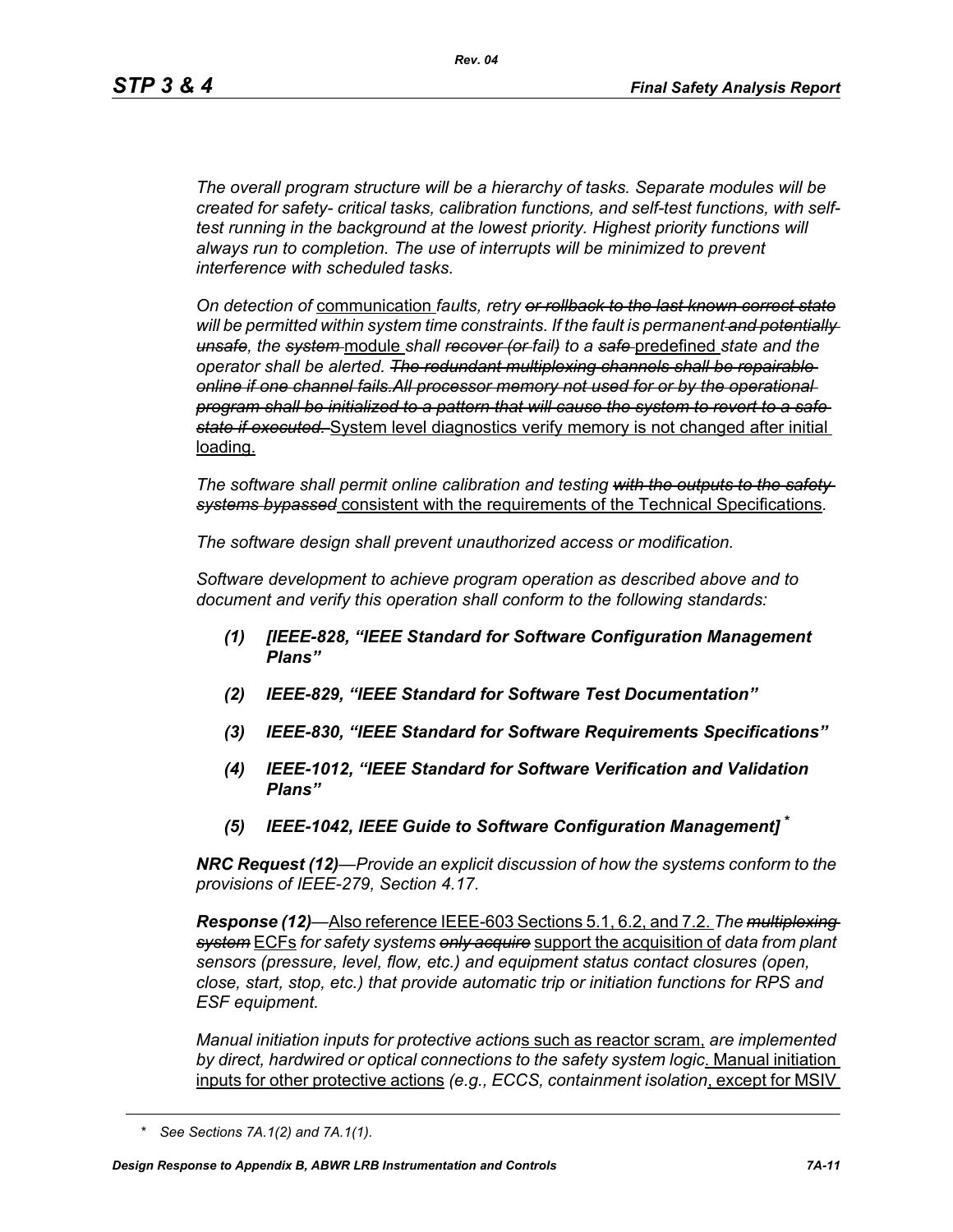*The overall program structure will be a hierarchy of tasks. Separate modules will be created for safety- critical tasks, calibration functions, and self-test functions, with selftest running in the background at the lowest priority. Highest priority functions will always run to completion. The use of interrupts will be minimized to prevent interference with scheduled tasks.* 

*On detection of* communication *faults, retry or rollback to the last known correct state will be permitted within system time constraints. If the fault is permanent and potentially unsafe, the system* module *shall recover (or fail) to a safe* predefined *state and the operator shall be alerted. The redundant multiplexing channels shall be repairable online if one channel fails.All processor memory not used for or by the operational program shall be initialized to a pattern that will cause the system to revert to a safe state if executed.* System level diagnostics verify memory is not changed after initial loading.

*The software shall permit online calibration and testing with the outputs to the safety systems bypassed* consistent with the requirements of the Technical Specifications*.* 

*The software design shall prevent unauthorized access or modification.* 

*Software development to achieve program operation as described above and to document and verify this operation shall conform to the following standards:*

- *(1) [IEEE-828, "IEEE Standard for Software Configuration Management Plans"*
- *(2) IEEE-829, "IEEE Standard for Software Test Documentation"*
- *(3) IEEE-830, "IEEE Standard for Software Requirements Specifications"*
- *(4) IEEE-1012, "IEEE Standard for Software Verification and Validation Plans"*
- *(5) IEEE-1042, IEEE Guide to Software Configuration Management]* **\***

*NRC Request (12)—Provide an explicit discussion of how the systems conform to the provisions of IEEE-279, Section 4.17.* 

*Response (12)—*Also reference IEEE-603 Sections 5.1, 6.2, and 7.2. *The multiplexing system* ECFs *for safety systems only acquire* support the acquisition of *data from plant sensors (pressure, level, flow, etc.) and equipment status contact closures (open, close, start, stop, etc.) that provide automatic trip or initiation functions for RPS and ESF equipment.* 

*Manual initiation inputs for protective action*s such as reactor scram, *are implemented by direct, hardwired or optical connections to the safety system logic*. Manual initiation inputs for other protective actions *(e.g., ECCS, containment isolation*, except for MSIV

*<sup>\*</sup> See Sections 7A.1(2) and 7A.1(1).*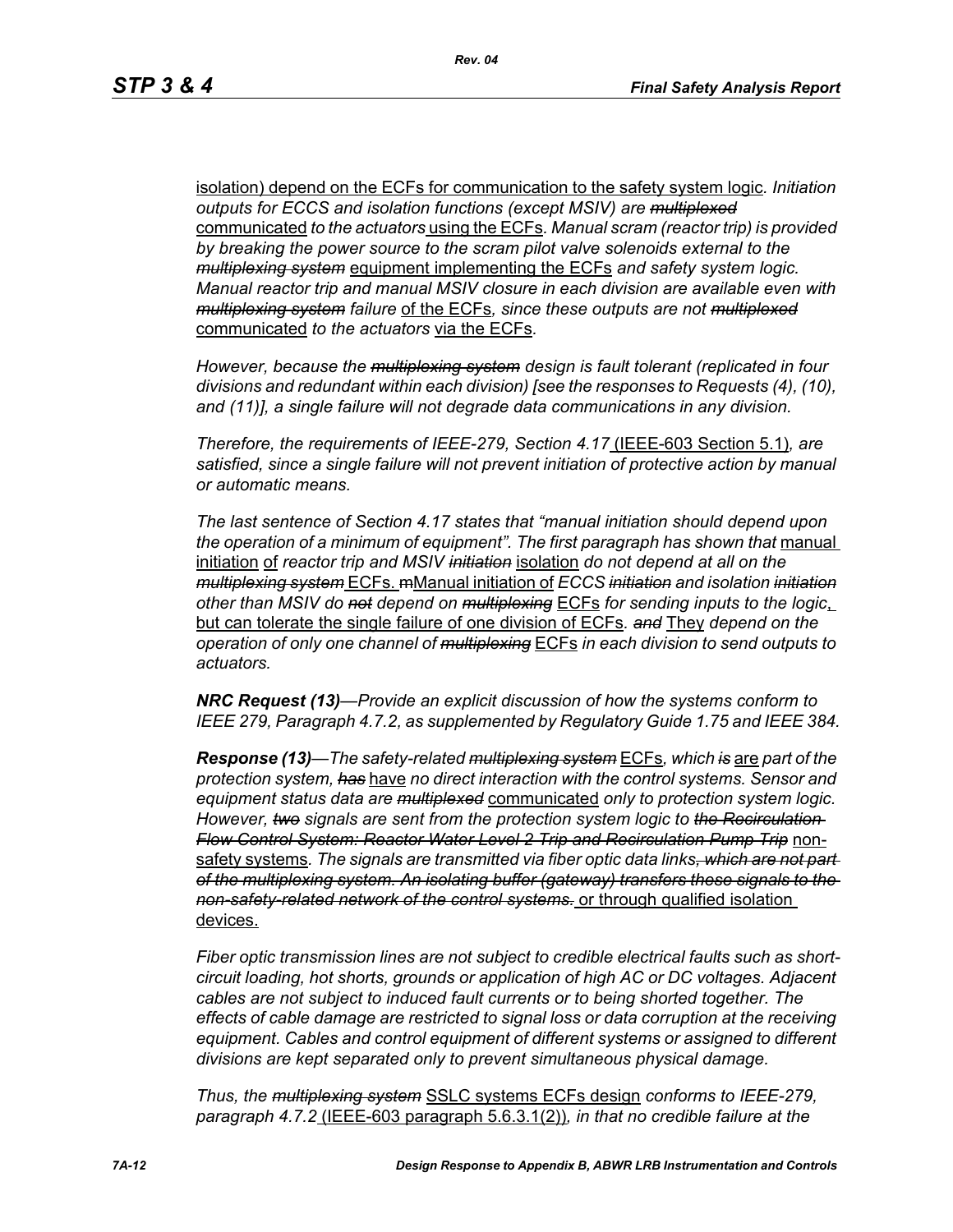isolation) depend on the ECFs for communication to the safety system logic*. Initiation outputs for ECCS and isolation functions (except MSIV) are multiplexed* communicated *to the actuators* using the ECFs*. Manual scram (reactor trip) is provided by breaking the power source to the scram pilot valve solenoids external to the multiplexing system* equipment implementing the ECFs *and safety system logic. Manual reactor trip and manual MSIV closure in each division are available even with multiplexing system failure* of the ECFs*, since these outputs are not multiplexed* communicated *to the actuators* via the ECFs*.* 

*However, because the multiplexing system design is fault tolerant (replicated in four divisions and redundant within each division) [see the responses to Requests (4), (10), and (11)], a single failure will not degrade data communications in any division.* 

*Therefore, the requirements of IEEE-279, Section 4.17* (IEEE-603 Section 5.1)*, are satisfied, since a single failure will not prevent initiation of protective action by manual or automatic means.* 

*The last sentence of Section 4.17 states that "manual initiation should depend upon*  the operation of a minimum of equipment". The first paragraph has shown that manual initiation of *reactor trip and MSIV initiation* isolation *do not depend at all on the multiplexing system* ECFs. mManual initiation of *ECCS initiation and isolation initiation other than MSIV do not depend on multiplexing* ECFs *for sending inputs to the logic*, but can tolerate the single failure of one division of ECFs*. and* They *depend on the operation of only one channel of multiplexing* ECFs *in each division to send outputs to actuators.* 

*NRC Request (13)—Provide an explicit discussion of how the systems conform to IEEE 279, Paragraph 4.7.2, as supplemented by Regulatory Guide 1.75 and IEEE 384.*

*Response (13)—The safety-related multiplexing system* ECFs*, which is* are *part of the protection system, has* have *no direct interaction with the control systems. Sensor and equipment status data are multiplexed* communicated *only to protection system logic. However, two signals are sent from the protection system logic to the Recirculation Flow Control System: Reactor Water Level 2 Trip and Recirculation Pump Trip* nonsafety systems*. The signals are transmitted via fiber optic data links, which are not part of the multiplexing system. An isolating buffer (gateway) transfers these signals to the non-safety-related network of the control systems.* or through qualified isolation devices.

*Fiber optic transmission lines are not subject to credible electrical faults such as shortcircuit loading, hot shorts, grounds or application of high AC or DC voltages. Adjacent cables are not subject to induced fault currents or to being shorted together. The effects of cable damage are restricted to signal loss or data corruption at the receiving equipment. Cables and control equipment of different systems or assigned to different divisions are kept separated only to prevent simultaneous physical damage.* 

*Thus, the multiplexing system* SSLC systems ECFs design *conforms to IEEE-279, paragraph 4.7.2* (IEEE-603 paragraph 5.6.3.1(2))*, in that no credible failure at the*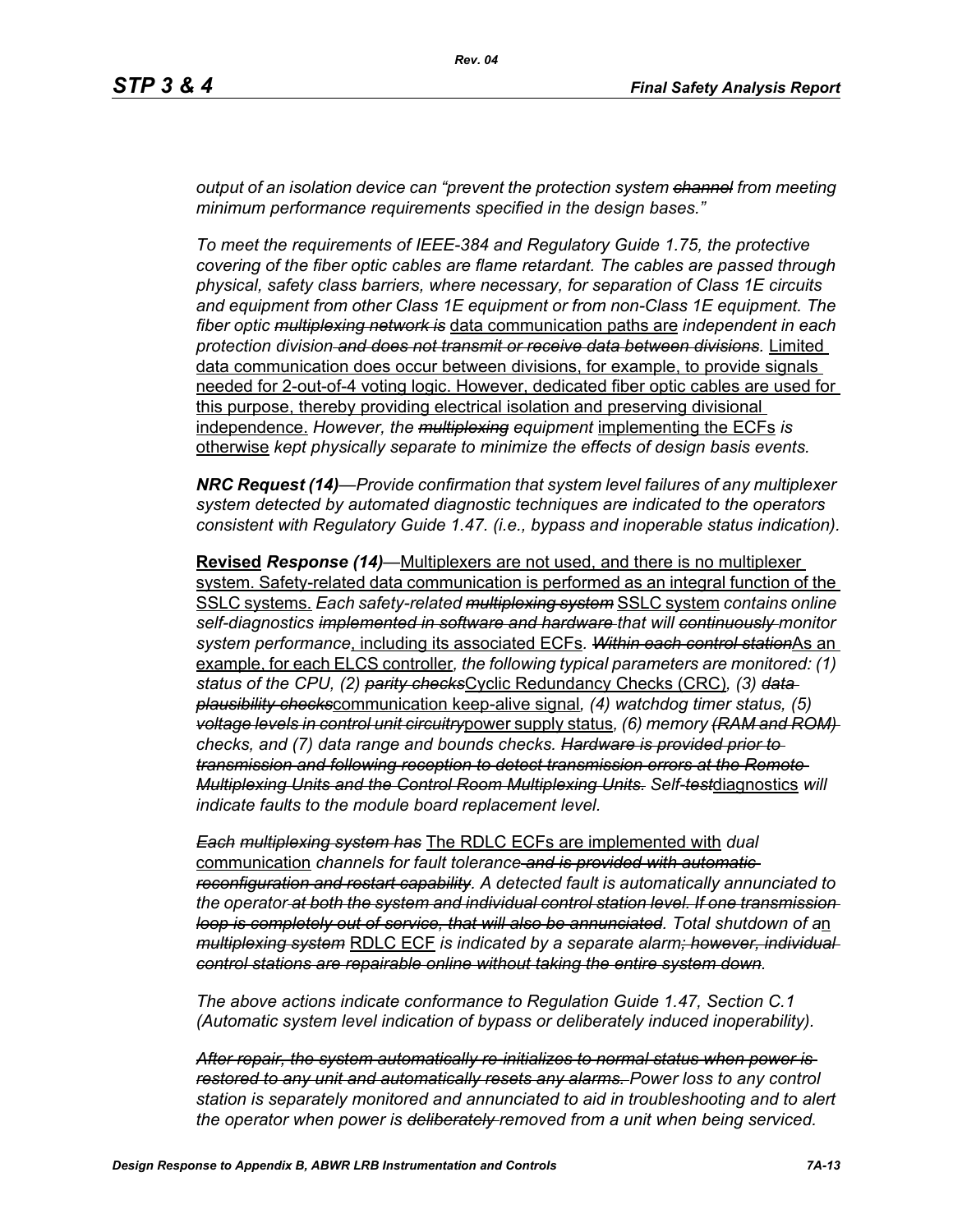*output of an isolation device can "prevent the protection system channel from meeting minimum performance requirements specified in the design bases."*

*To meet the requirements of IEEE-384 and Regulatory Guide 1.75, the protective covering of the fiber optic cables are flame retardant. The cables are passed through physical, safety class barriers, where necessary, for separation of Class 1E circuits and equipment from other Class 1E equipment or from non-Class 1E equipment. The fiber optic multiplexing network is* data communication paths are *independent in each protection division and does not transmit or receive data between divisions.* Limited data communication does occur between divisions, for example, to provide signals needed for 2-out-of-4 voting logic. However, dedicated fiber optic cables are used for this purpose, thereby providing electrical isolation and preserving divisional independence. *However, the multiplexing equipment* implementing the ECFs *is*  otherwise *kept physically separate to minimize the effects of design basis events.* 

*NRC Request (14)—Provide confirmation that system level failures of any multiplexer system detected by automated diagnostic techniques are indicated to the operators consistent with Regulatory Guide 1.47. (i.e., bypass and inoperable status indication).*

**Revised** *Response (14)—*Multiplexers are not used, and there is no multiplexer system. Safety-related data communication is performed as an integral function of the SSLC systems. *Each safety-related multiplexing system* SSLC system *contains online self-diagnostics implemented in software and hardware that will continuously monitor system performance*, including its associated ECFs*. Within each control station*As an example, for each ELCS controller*, the following typical parameters are monitored: (1) status of the CPU, (2) parity checks*Cyclic Redundancy Checks (CRC)*, (3) data plausibility checks*communication keep-alive signal*, (4) watchdog timer status, (5) voltage levels in control unit circuitry*power supply status*, (6) memory (RAM and ROM) checks, and (7) data range and bounds checks. Hardware is provided prior to transmission and following reception to detect transmission errors at the Remote Multiplexing Units and the Control Room Multiplexing Units. Self-test*diagnostics *will indicate faults to the module board replacement level.* 

*Each multiplexing system has* The RDLC ECFs are implemented with *dual*  communication *channels for fault tolerance and is provided with automatic reconfiguration and restart capability. A detected fault is automatically annunciated to the operator at both the system and individual control station level. If one transmission loop is completely out of service, that will also be annunciated. Total shutdown of a*n *multiplexing system* RDLC ECF *is indicated by a separate alarm; however, individual control stations are repairable online without taking the entire system down.* 

*The above actions indicate conformance to Regulation Guide 1.47, Section C.1 (Automatic system level indication of bypass or deliberately induced inoperability).* 

*After repair, the system automatically re-initializes to normal status when power is restored to any unit and automatically resets any alarms. Power loss to any control station is separately monitored and annunciated to aid in troubleshooting and to alert the operator when power is deliberately removed from a unit when being serviced.*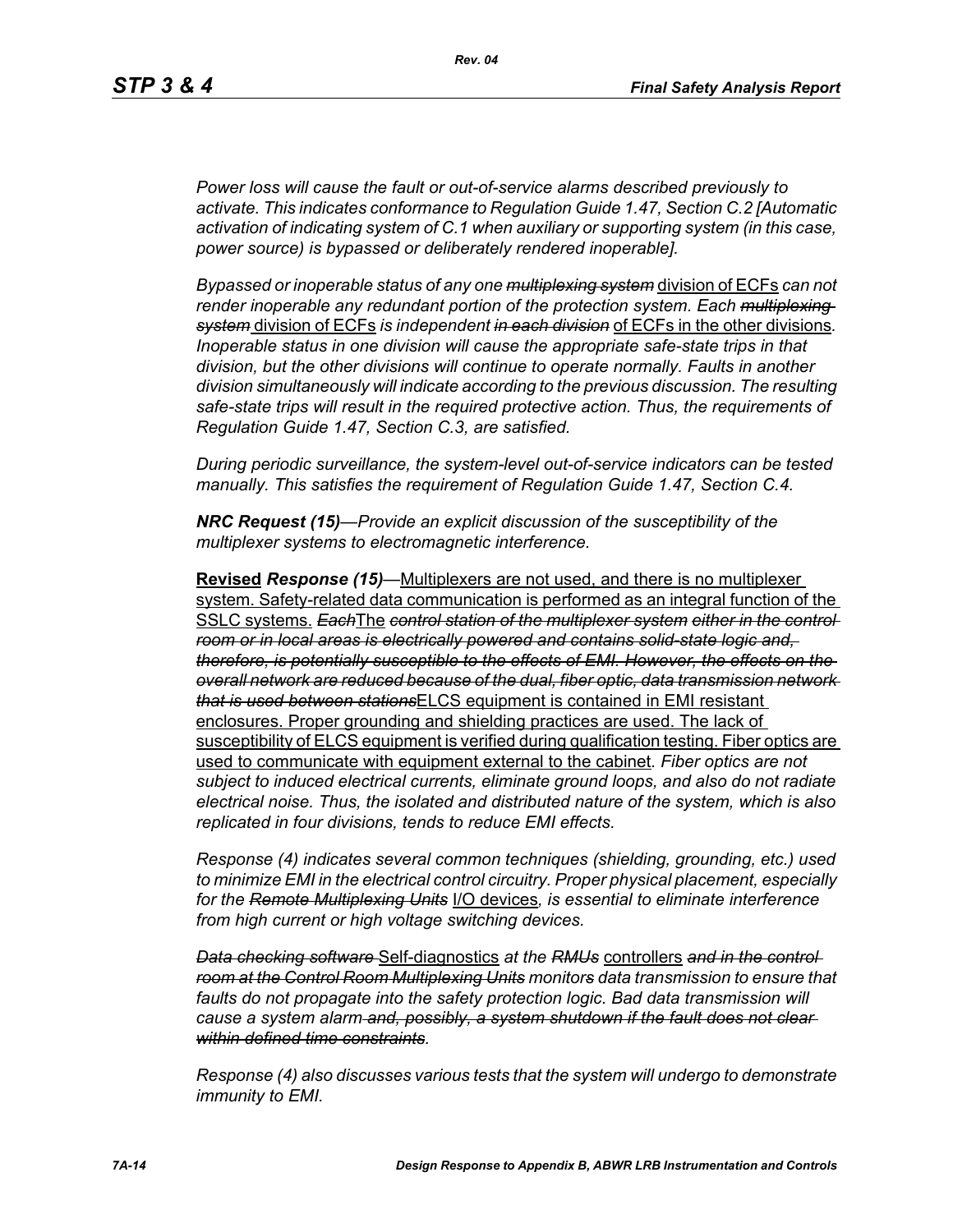*Power loss will cause the fault or out-of-service alarms described previously to activate. This indicates conformance to Regulation Guide 1.47, Section C.2 [Automatic activation of indicating system of C.1 when auxiliary or supporting system (in this case, power source) is bypassed or deliberately rendered inoperable].* 

*Bypassed or inoperable status of any one multiplexing system* division of ECFs *can not render inoperable any redundant portion of the protection system. Each multiplexing system* division of ECFs *is independent in each division* of ECFs in the other divisions*. Inoperable status in one division will cause the appropriate safe-state trips in that division, but the other divisions will continue to operate normally. Faults in another division simultaneously will indicate according to the previous discussion. The resulting safe-state trips will result in the required protective action. Thus, the requirements of Regulation Guide 1.47, Section C.3, are satisfied.* 

*During periodic surveillance, the system-level out-of-service indicators can be tested manually. This satisfies the requirement of Regulation Guide 1.47, Section C.4.* 

*NRC Request (15)—Provide an explicit discussion of the susceptibility of the multiplexer systems to electromagnetic interference.*

**Revised** *Response (15)—*Multiplexers are not used, and there is no multiplexer system. Safety-related data communication is performed as an integral function of the SSLC systems. *Each*The *control station of the multiplexer system either in the control room or in local areas is electrically powered and contains solid-state logic and, therefore, is potentially susceptible to the effects of EMI. However, the effects on the overall network are reduced because of the dual, fiber optic, data transmission network that is used between stations*ELCS equipment is contained in EMI resistant enclosures. Proper grounding and shielding practices are used. The lack of susceptibility of ELCS equipment is verified during qualification testing. Fiber optics are used to communicate with equipment external to the cabinet*. Fiber optics are not subject to induced electrical currents, eliminate ground loops, and also do not radiate electrical noise. Thus, the isolated and distributed nature of the system, which is also replicated in four divisions, tends to reduce EMI effects.* 

*Response (4) indicates several common techniques (shielding, grounding, etc.) used to minimize EMI in the electrical control circuitry. Proper physical placement, especially for the Remote Multiplexing Units* I/O devices*, is essential to eliminate interference from high current or high voltage switching devices.* 

*Data checking software* Self-diagnostics *at the RMUs* controllers *and in the control room at the Control Room Multiplexing Units monitors data transmission to ensure that*  faults do not propagate into the safety protection logic. Bad data transmission will *cause a system alarm and, possibly, a system shutdown if the fault does not clear within defined time constraints.*

*Response (4) also discusses various tests that the system will undergo to demonstrate immunity to EMI.*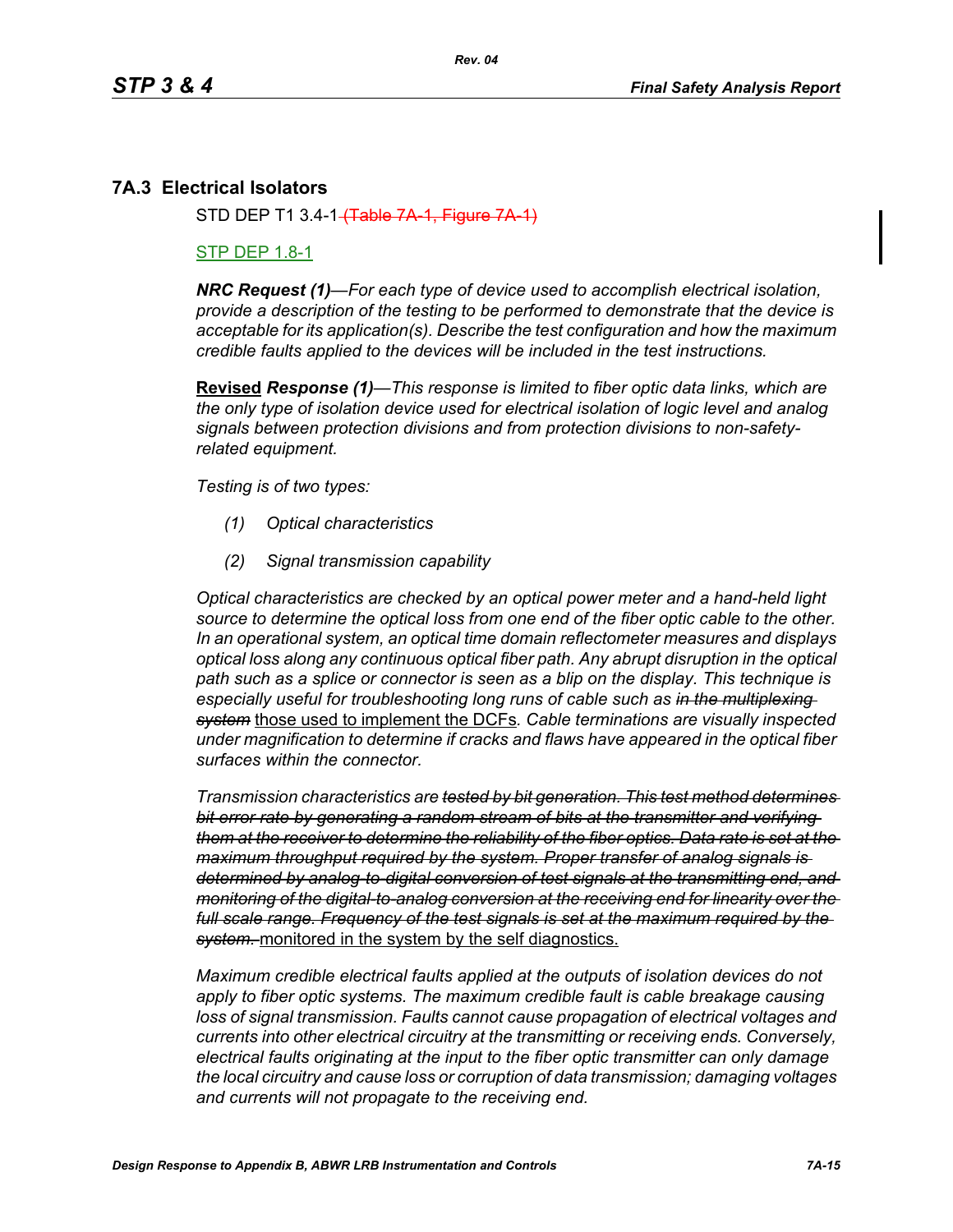# **7A.3 Electrical Isolators**

STD DEP T1 3.4-1 (Table 7A-1, Figure 7

## STP DEP 1.8-1

*NRC Request (1)—For each type of device used to accomplish electrical isolation, provide a description of the testing to be performed to demonstrate that the device is acceptable for its application(s). Describe the test configuration and how the maximum credible faults applied to the devices will be included in the test instructions.*

**Revised** *Response (1)—This response is limited to fiber optic data links, which are the only type of isolation device used for electrical isolation of logic level and analog signals between protection divisions and from protection divisions to non-safetyrelated equipment.* 

*Testing is of two types:*

- *(1) Optical characteristics*
- *(2) Signal transmission capability*

*Optical characteristics are checked by an optical power meter and a hand-held light source to determine the optical loss from one end of the fiber optic cable to the other. In an operational system, an optical time domain reflectometer measures and displays optical loss along any continuous optical fiber path. Any abrupt disruption in the optical path such as a splice or connector is seen as a blip on the display. This technique is especially useful for troubleshooting long runs of cable such as in the multiplexing system* those used to implement the DCFs*. Cable terminations are visually inspected under magnification to determine if cracks and flaws have appeared in the optical fiber surfaces within the connector.* 

*Transmission characteristics are tested by bit generation. This test method determines bit error rate by generating a random stream of bits at the transmitter and verifying them at the receiver to determine the reliability of the fiber optics. Data rate is set at the maximum throughput required by the system. Proper transfer of analog signals is determined by analog-to-digital conversion of test signals at the transmitting end, and monitoring of the digital-to-analog conversion at the receiving end for linearity over the full scale range. Frequency of the test signals is set at the maximum required by the system.* monitored in the system by the self diagnostics.

*Maximum credible electrical faults applied at the outputs of isolation devices do not apply to fiber optic systems. The maximum credible fault is cable breakage causing loss of signal transmission. Faults cannot cause propagation of electrical voltages and currents into other electrical circuitry at the transmitting or receiving ends. Conversely, electrical faults originating at the input to the fiber optic transmitter can only damage the local circuitry and cause loss or corruption of data transmission; damaging voltages and currents will not propagate to the receiving end.*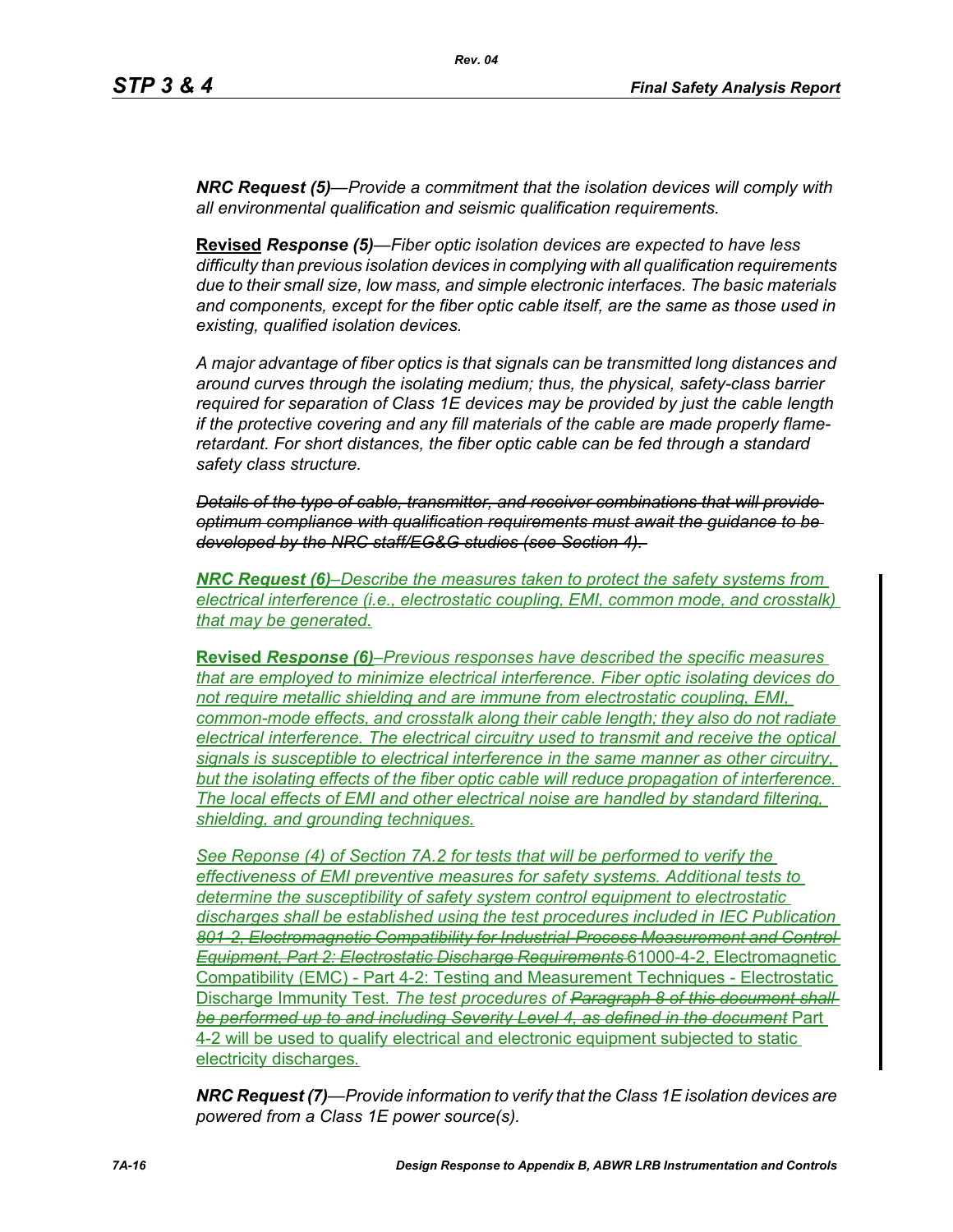*NRC Request (5)—Provide a commitment that the isolation devices will comply with all environmental qualification and seismic qualification requirements.*

**Revised** *Response (5)—Fiber optic isolation devices are expected to have less difficulty than previous isolation devices in complying with all qualification requirements due to their small size, low mass, and simple electronic interfaces. The basic materials and components, except for the fiber optic cable itself, are the same as those used in existing, qualified isolation devices.* 

*A major advantage of fiber optics is that signals can be transmitted long distances and around curves through the isolating medium; thus, the physical, safety-class barrier required for separation of Class 1E devices may be provided by just the cable length if the protective covering and any fill materials of the cable are made properly flameretardant. For short distances, the fiber optic cable can be fed through a standard safety class structure.* 

*Details of the type of cable, transmitter, and receiver combinations that will provide optimum compliance with qualification requirements must await the guidance to be developed by the NRC staff/EG&G studies (see Section 4).* 

*NRC Request (6)–Describe the measures taken to protect the safety systems from electrical interference (i.e., electrostatic coupling, EMI, common mode, and crosstalk) that may be generated.*

**Revised** *Response (6)–Previous responses have described the specific measures that are employed to minimize electrical interference. Fiber optic isolating devices do not require metallic shielding and are immune from electrostatic coupling, EMI, common-mode effects, and crosstalk along their cable length; they also do not radiate electrical interference. The electrical circuitry used to transmit and receive the optical signals is susceptible to electrical interference in the same manner as other circuitry, but the isolating effects of the fiber optic cable will reduce propagation of interference. The local effects of EMI and other electrical noise are handled by standard filtering, shielding, and grounding techniques.*

*See Reponse (4) of Section 7A.2 for tests that will be performed to verify the effectiveness of EMI preventive measures for safety systems. Additional tests to determine the susceptibility of safety system control equipment to electrostatic discharges shall be established using the test procedures included in IEC Publication 801-2, Electromagnetic Compatibility for Industrial-Process Measurement and Control Equipment, Part 2: Electrostatic Discharge Requirements* 61000-4-2, Electromagnetic Compatibility (EMC) - Part 4-2: Testing and Measurement Techniques - Electrostatic Discharge Immunity Test*. The test procedures of Paragraph 8 of this document shall be performed up to and including Severity Level 4, as defined in the document* Part 4-2 will be used to qualify electrical and electronic equipment subjected to static electricity discharges*.*

*NRC Request (7)—Provide information to verify that the Class 1E isolation devices are powered from a Class 1E power source(s).*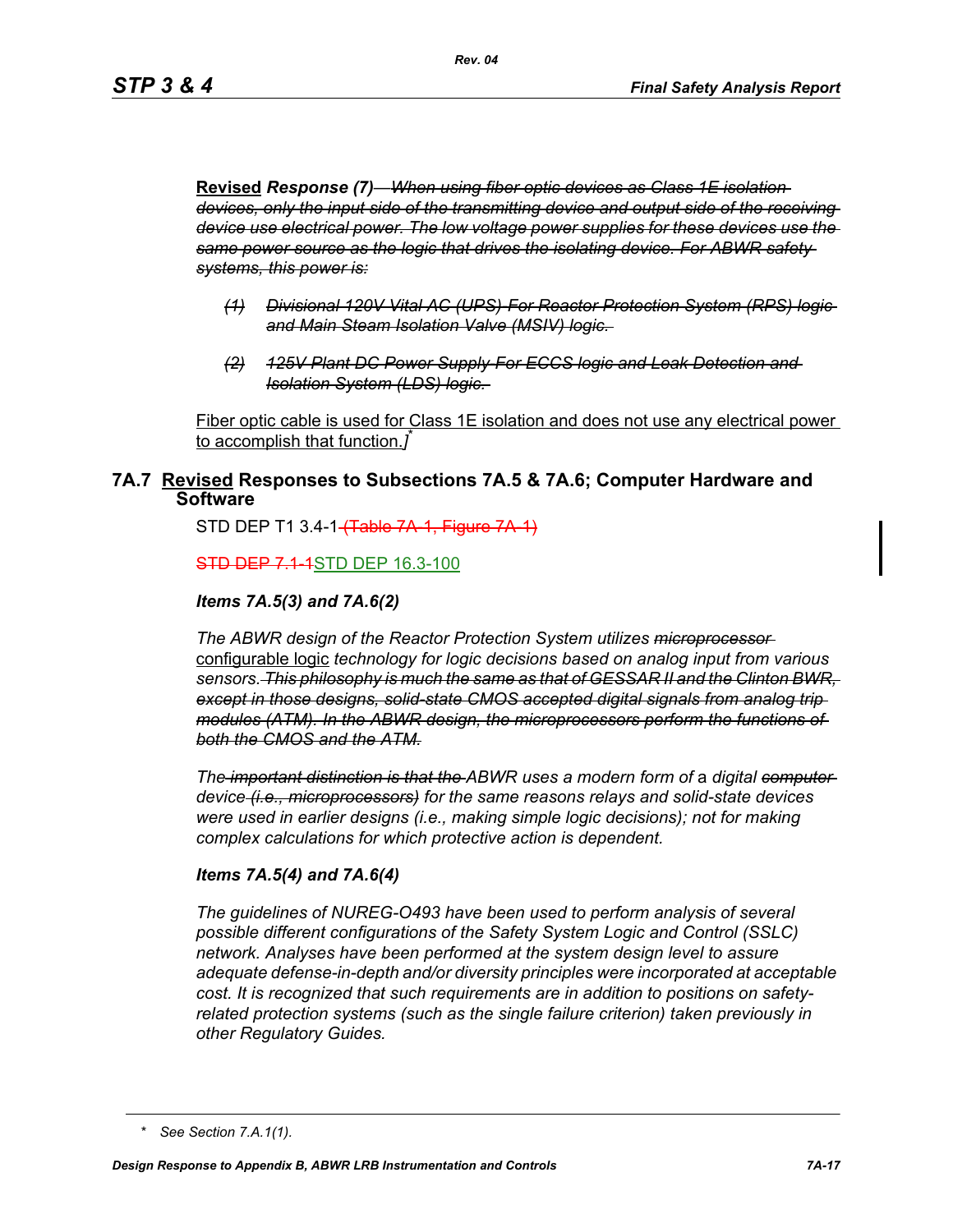**Revised** *Response (7)—When using fiber optic devices as Class 1E isolation devices, only the input side of the transmitting device and output side of the receiving device use electrical power. The low voltage power supplies for these devices use the same power source as the logic that drives the isolating device. For ABWR safety systems, this power is:*

- *(1) Divisional 120V Vital AC (UPS)-For Reactor Protection System (RPS) logic and Main Steam Isolation Valve (MSIV) logic.*
- *(2) 125V Plant DC Power Supply-For ECCS logic and Leak Detection and Isolation System (LDS) logic.*

Fiber optic cable is used for Class 1E isolation and does not use any electrical power to accomplish that function.*]* \*

## **7A.7 Revised Responses to Subsections 7A.5 & 7A.6; Computer Hardware and Software**

STD DEP T1 3.4-1 (Table 7A 1, Figure 7A 1)

**STD DEP 7.1-1STD DEP 16.3-100** 

#### *Items 7A.5(3) and 7A.6(2)*

*The ABWR design of the Reactor Protection System utilizes microprocessor*  configurable logic *technology for logic decisions based on analog input from various sensors. This philosophy is much the same as that of GESSAR II and the Clinton BWR, except in those designs, solid-state CMOS accepted digital signals from analog trip modules (ATM). In the ABWR design, the microprocessors perform the functions of both the CMOS and the ATM.*

*The important distinction is that the ABWR uses a modern form of a digital computer device (i.e., microprocessors) for the same reasons relays and solid-state devices were used in earlier designs (i.e., making simple logic decisions); not for making complex calculations for which protective action is dependent.*

#### *Items 7A.5(4) and 7A.6(4)*

*The guidelines of NUREG-O493 have been used to perform analysis of several possible different configurations of the Safety System Logic and Control (SSLC) network. Analyses have been performed at the system design level to assure adequate defense-in-depth and/or diversity principles were incorporated at acceptable cost. It is recognized that such requirements are in addition to positions on safetyrelated protection systems (such as the single failure criterion) taken previously in other Regulatory Guides.*

*<sup>\*</sup> See Section 7.A.1(1).*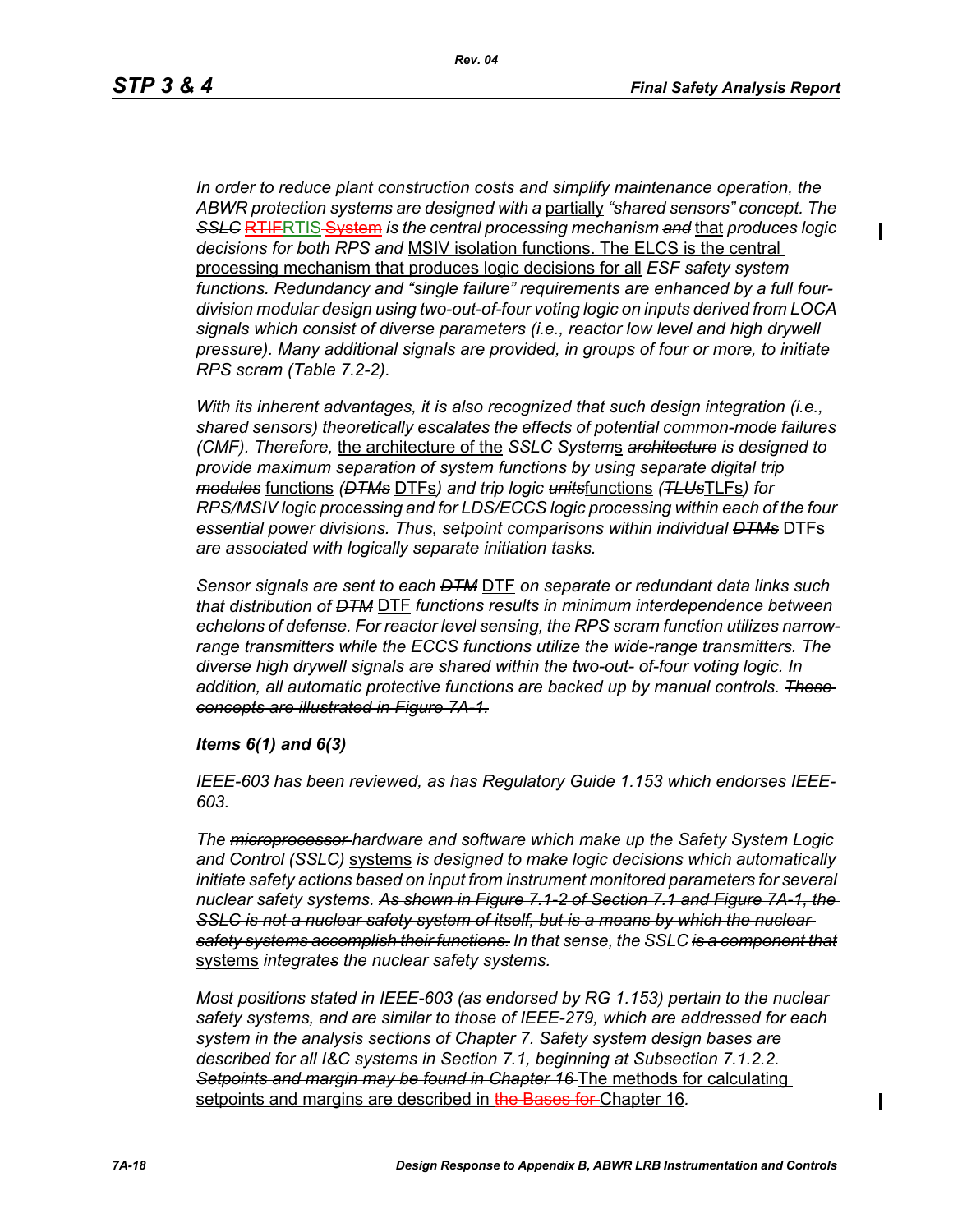$\blacksquare$ 

*In order to reduce plant construction costs and simplify maintenance operation, the ABWR protection systems are designed with a* partially *"shared sensors" concept. The SSLC* RTIFRTIS System *is the central processing mechanism and* that *produces logic decisions for both RPS and* MSIV isolation functions. The ELCS is the central processing mechanism that produces logic decisions for all *ESF safety system functions. Redundancy and "single failure" requirements are enhanced by a full fourdivision modular design using two-out-of-four voting logic on inputs derived from LOCA signals which consist of diverse parameters (i.e., reactor low level and high drywell pressure). Many additional signals are provided, in groups of four or more, to initiate RPS scram (Table 7.2-2).*

*With its inherent advantages, it is also recognized that such design integration (i.e., shared sensors) theoretically escalates the effects of potential common-mode failures (CMF). Therefore,* the architecture of the *SSLC System*s *architecture is designed to provide maximum separation of system functions by using separate digital trip modules* functions *(DTMs* DTFs*) and trip logic units*functions *(TLUs*TLFs*) for RPS/MSIV logic processing and for LDS/ECCS logic processing within each of the four essential power divisions. Thus, setpoint comparisons within individual DTMs* DTFs *are associated with logically separate initiation tasks.* 

*Sensor signals are sent to each DTM* DTF *on separate or redundant data links such that distribution of DTM* DTF *functions results in minimum interdependence between echelons of defense. For reactor level sensing, the RPS scram function utilizes narrowrange transmitters while the ECCS functions utilize the wide-range transmitters. The diverse high drywell signals are shared within the two-out- of-four voting logic. In addition, all automatic protective functions are backed up by manual controls. These concepts are illustrated in Figure 7A-1.*

#### *Items 6(1) and 6(3)*

*IEEE-603 has been reviewed, as has Regulatory Guide 1.153 which endorses IEEE-603.*

*The microprocessor hardware and software which make up the Safety System Logic and Control (SSLC)* systems *is designed to make logic decisions which automatically initiate safety actions based on input from instrument monitored parameters for several nuclear safety systems. As shown in Figure 7.1-2 of Section 7.1 and Figure 7A-1, the*  **SSLC is not a nuclear safety system of itself, but is a means by which the nuclear** *safety systems accomplish their functions. In that sense, the SSLC is a component that* systems *integrates the nuclear safety systems.*

*Most positions stated in IEEE-603 (as endorsed by RG 1.153) pertain to the nuclear safety systems, and are similar to those of IEEE-279, which are addressed for each system in the analysis sections of Chapter 7. Safety system design bases are described for all I&C systems in Section 7.1, beginning at Subsection 7.1.2.2. Setpoints and margin may be found in Chapter 16* The methods for calculating setpoints and margins are described in the Bases for Chapter 16*.*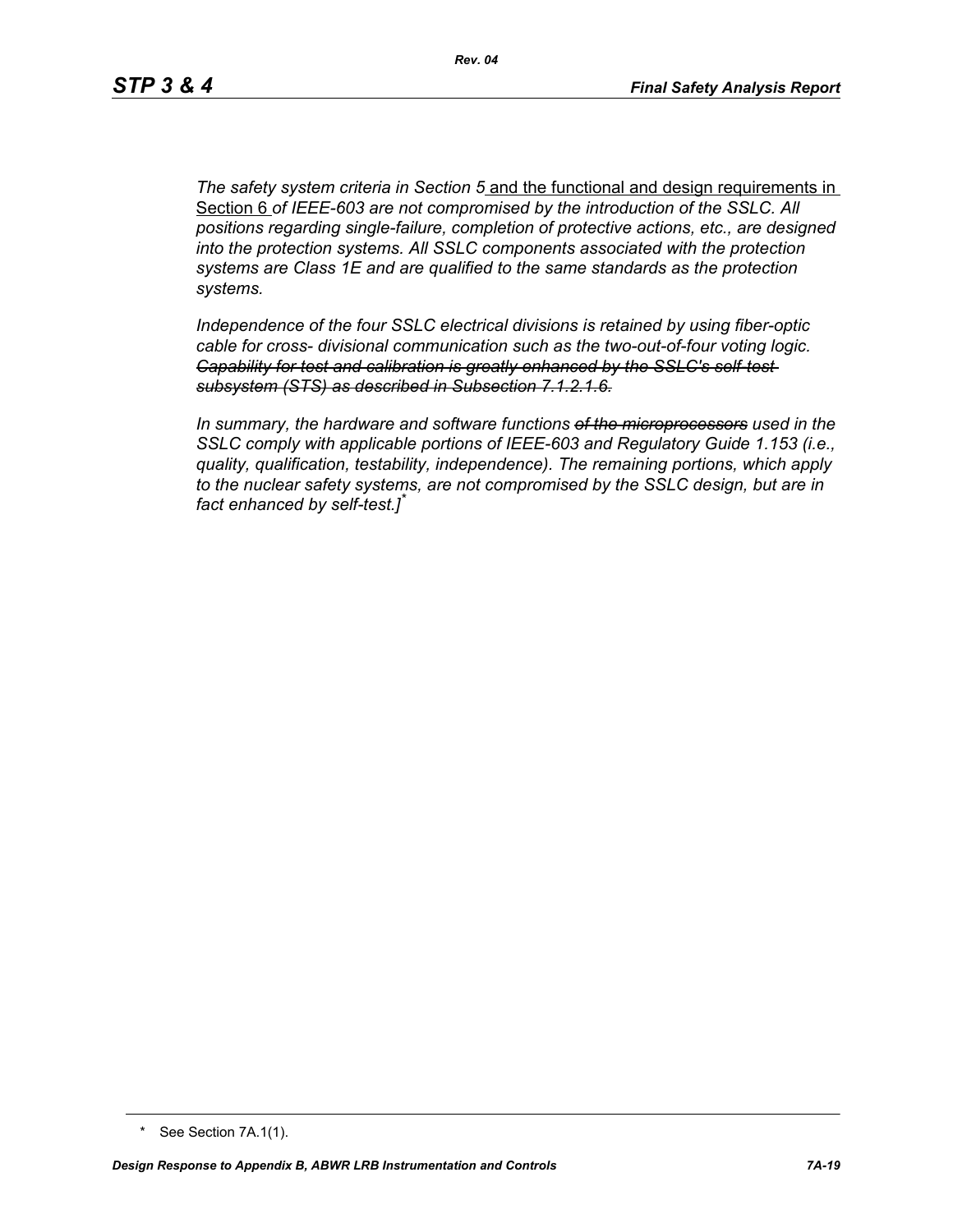*The safety system criteria in Section 5* and the functional and design requirements in Section 6 *of IEEE-603 are not compromised by the introduction of the SSLC. All positions regarding single-failure, completion of protective actions, etc., are designed into the protection systems. All SSLC components associated with the protection systems are Class 1E and are qualified to the same standards as the protection systems.*

*Independence of the four SSLC electrical divisions is retained by using fiber-optic cable for cross- divisional communication such as the two-out-of-four voting logic. Capability for test and calibration is greatly enhanced by the SSLC's self-test subsystem (STS) as described in Subsection 7.1.2.1.6.*

*In summary, the hardware and software functions of the microprocessors used in the SSLC comply with applicable portions of IEEE-603 and Regulatory Guide 1.153 (i.e., quality, qualification, testability, independence). The remaining portions, which apply to the nuclear safety systems, are not compromised by the SSLC design, but are in fact enhanced by self-test.]\**

<sup>\*</sup> See Section 7A.1(1).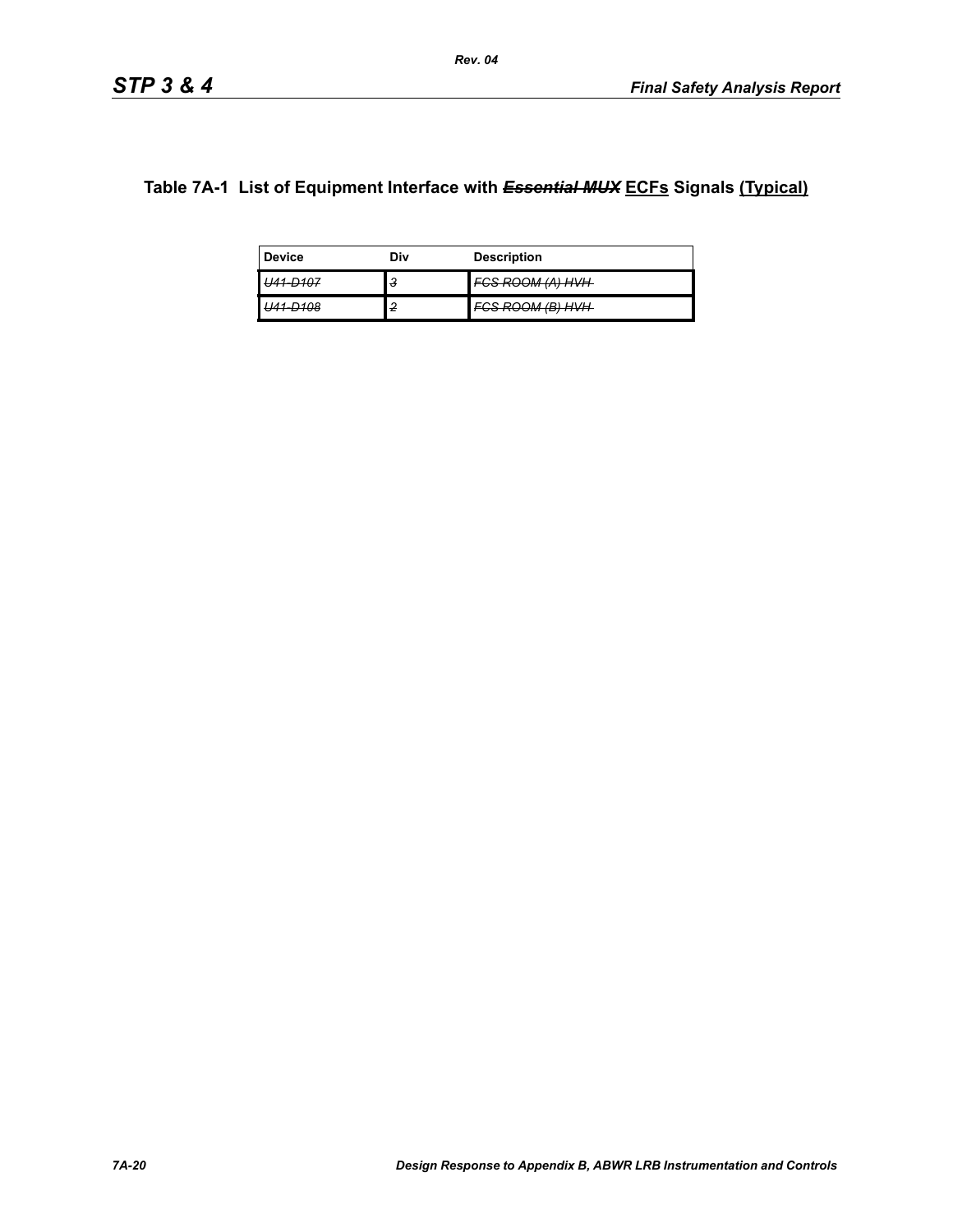# **Table 7A-1 List of Equipment Interface with** *Essential MUX* **ECFs Signals (Typical)**

| <b>Device</b>                    | Div | <b>Description</b>                                          |
|----------------------------------|-----|-------------------------------------------------------------|
| D107<br><del>, , , , , , ,</del> | з   | ECS DOOM (A) LIVLI<br><del>חץ <i>חן ואן ווטט</i>אז טס</del> |
| D102<br>סועי                     | 2   | า <i>เง เอ</i> า <i>มาเม</i><br><del>onoom panva</del>      |